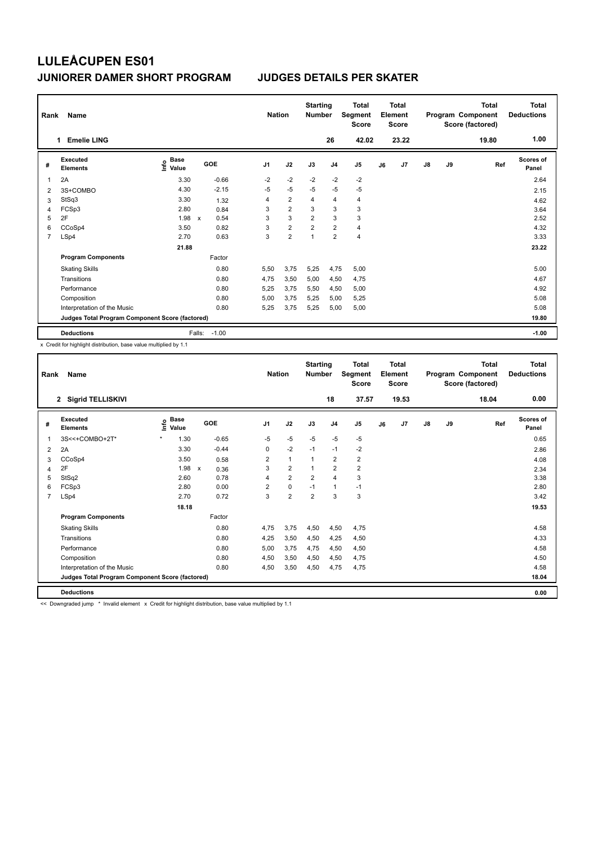| Rank | Name                                            |                           |                      |                | <b>Nation</b>  | <b>Starting</b><br><b>Number</b> |                | <b>Total</b><br>Segment<br><b>Score</b> |    | <b>Total</b><br>Element<br><b>Score</b> |    |    | <b>Total</b><br>Program Component<br>Score (factored) | <b>Total</b><br><b>Deductions</b> |
|------|-------------------------------------------------|---------------------------|----------------------|----------------|----------------|----------------------------------|----------------|-----------------------------------------|----|-----------------------------------------|----|----|-------------------------------------------------------|-----------------------------------|
|      | <b>Emelie LING</b>                              |                           |                      |                |                |                                  | 26             | 42.02                                   |    | 23.22                                   |    |    | 19.80                                                 | 1.00                              |
| #    | <b>Executed</b><br><b>Elements</b>              | Base<br>e Base<br>⊆ Value | GOE                  | J <sub>1</sub> | J2             | J3                               | J <sub>4</sub> | J5                                      | J6 | J7                                      | J8 | J9 | Ref                                                   | Scores of<br>Panel                |
| 1    | 2A                                              | 3.30                      | $-0.66$              | $-2$           | $-2$           | $-2$                             | $-2$           | $-2$                                    |    |                                         |    |    |                                                       | 2.64                              |
| 2    | 3S+COMBO                                        | 4.30                      | $-2.15$              | $-5$           | $-5$           | $-5$                             | $-5$           | $-5$                                    |    |                                         |    |    |                                                       | 2.15                              |
| 3    | StSq3                                           | 3.30                      | 1.32                 | 4              | $\overline{2}$ | 4                                | $\overline{4}$ | $\overline{4}$                          |    |                                         |    |    |                                                       | 4.62                              |
| 4    | FCSp3                                           | 2.80                      | 0.84                 | 3              | $\overline{2}$ | 3                                | 3              | 3                                       |    |                                         |    |    |                                                       | 3.64                              |
| 5    | 2F                                              | 1.98                      | 0.54<br>$\mathsf{x}$ | 3              | 3              | $\overline{\mathbf{c}}$          | 3              | 3                                       |    |                                         |    |    |                                                       | 2.52                              |
| 6    | CCoSp4                                          | 3.50                      | 0.82                 | 3              | $\overline{2}$ | $\overline{2}$                   | $\overline{2}$ | 4                                       |    |                                         |    |    |                                                       | 4.32                              |
| 7    | LSp4                                            | 2.70                      | 0.63                 | 3              | $\overline{2}$ | 1                                | $\overline{2}$ | 4                                       |    |                                         |    |    |                                                       | 3.33                              |
|      |                                                 | 21.88                     |                      |                |                |                                  |                |                                         |    |                                         |    |    |                                                       | 23.22                             |
|      | <b>Program Components</b>                       |                           | Factor               |                |                |                                  |                |                                         |    |                                         |    |    |                                                       |                                   |
|      | <b>Skating Skills</b>                           |                           | 0.80                 | 5.50           | 3,75           | 5,25                             | 4,75           | 5,00                                    |    |                                         |    |    |                                                       | 5.00                              |
|      | Transitions                                     |                           | 0.80                 | 4.75           | 3,50           | 5,00                             | 4,50           | 4,75                                    |    |                                         |    |    |                                                       | 4.67                              |
|      | Performance                                     |                           | 0.80                 | 5.25           | 3.75           | 5,50                             | 4,50           | 5.00                                    |    |                                         |    |    |                                                       | 4.92                              |
|      | Composition                                     |                           | 0.80                 | 5,00           | 3,75           | 5,25                             | 5,00           | 5,25                                    |    |                                         |    |    |                                                       | 5.08                              |
|      | Interpretation of the Music                     |                           | 0.80                 | 5,25           | 3,75           | 5,25                             | 5,00           | 5,00                                    |    |                                         |    |    |                                                       | 5.08                              |
|      | Judges Total Program Component Score (factored) |                           |                      |                |                |                                  |                |                                         |    |                                         |    |    |                                                       | 19.80                             |
|      | <b>Deductions</b>                               |                           | $-1.00$<br>Falls:    |                |                |                                  |                |                                         |    |                                         |    |    |                                                       | $-1.00$                           |

x Credit for highlight distribution, base value multiplied by 1.1

| Rank           | Name                                            |         |                    |              |         | <b>Nation</b>  |                | <b>Starting</b><br><b>Number</b> |                         | <b>Total</b><br>Segment<br><b>Score</b> |    | <b>Total</b><br>Element<br><b>Score</b> |               |    | <b>Total</b><br>Program Component<br>Score (factored) | <b>Total</b><br><b>Deductions</b> |
|----------------|-------------------------------------------------|---------|--------------------|--------------|---------|----------------|----------------|----------------------------------|-------------------------|-----------------------------------------|----|-----------------------------------------|---------------|----|-------------------------------------------------------|-----------------------------------|
|                | 2 Sigrid TELLISKIVI                             |         |                    |              |         |                |                |                                  | 18                      | 37.57                                   |    | 19.53                                   |               |    | 18.04                                                 | 0.00                              |
| #              | <b>Executed</b><br><b>Elements</b>              |         | $\frac{6}{5}$ Base | GOE          |         | J <sub>1</sub> | J2             | J3                               | J <sub>4</sub>          | J5                                      | J6 | J <sub>7</sub>                          | $\mathsf{J}8$ | J9 | Ref                                                   | Scores of<br>Panel                |
| 1              | 3S<<+COMBO+2T*                                  | $\star$ | 1.30               |              | $-0.65$ | $-5$           | $-5$           | $-5$                             | $-5$                    | $-5$                                    |    |                                         |               |    |                                                       | 0.65                              |
| 2              | 2A                                              |         | 3.30               |              | $-0.44$ | 0              | $-2$           | $-1$                             | $-1$                    | $-2$                                    |    |                                         |               |    |                                                       | 2.86                              |
| 3              | CCoSp4                                          |         | 3.50               |              | 0.58    | 2              | $\mathbf{1}$   |                                  | $\overline{\mathbf{c}}$ | $\overline{\mathbf{c}}$                 |    |                                         |               |    |                                                       | 4.08                              |
| 4              | 2F                                              |         | 1.98               | $\mathsf{x}$ | 0.36    | 3              | $\overline{2}$ |                                  | $\overline{2}$          | $\overline{\mathbf{c}}$                 |    |                                         |               |    |                                                       | 2.34                              |
| 5              | StSq2                                           |         | 2.60               |              | 0.78    | 4              | $\overline{2}$ | $\overline{2}$                   | $\overline{4}$          | 3                                       |    |                                         |               |    |                                                       | 3.38                              |
| 6              | FCSp3                                           |         | 2.80               |              | 0.00    | $\overline{2}$ | $\mathbf 0$    | $-1$                             | $\mathbf{1}$            | $-1$                                    |    |                                         |               |    |                                                       | 2.80                              |
| $\overline{7}$ | LSp4                                            |         | 2.70               |              | 0.72    | 3              | $\overline{2}$ | $\overline{2}$                   | 3                       | 3                                       |    |                                         |               |    |                                                       | 3.42                              |
|                |                                                 |         | 18.18              |              |         |                |                |                                  |                         |                                         |    |                                         |               |    |                                                       | 19.53                             |
|                | <b>Program Components</b>                       |         |                    |              | Factor  |                |                |                                  |                         |                                         |    |                                         |               |    |                                                       |                                   |
|                | <b>Skating Skills</b>                           |         |                    |              | 0.80    | 4,75           | 3,75           | 4,50                             | 4,50                    | 4,75                                    |    |                                         |               |    |                                                       | 4.58                              |
|                | Transitions                                     |         |                    |              | 0.80    | 4,25           | 3,50           | 4,50                             | 4,25                    | 4,50                                    |    |                                         |               |    |                                                       | 4.33                              |
|                | Performance                                     |         |                    |              | 0.80    | 5,00           | 3,75           | 4,75                             | 4,50                    | 4,50                                    |    |                                         |               |    |                                                       | 4.58                              |
|                | Composition                                     |         |                    |              | 0.80    | 4,50           | 3,50           | 4,50                             | 4,50                    | 4,75                                    |    |                                         |               |    |                                                       | 4.50                              |
|                | Interpretation of the Music                     |         |                    |              | 0.80    | 4,50           | 3,50           | 4,50                             | 4,75                    | 4,75                                    |    |                                         |               |    |                                                       | 4.58                              |
|                | Judges Total Program Component Score (factored) |         |                    |              |         |                |                |                                  |                         |                                         |    |                                         |               |    |                                                       | 18.04                             |
|                | <b>Deductions</b>                               |         |                    |              |         |                |                |                                  |                         |                                         |    |                                         |               |    |                                                       | 0.00                              |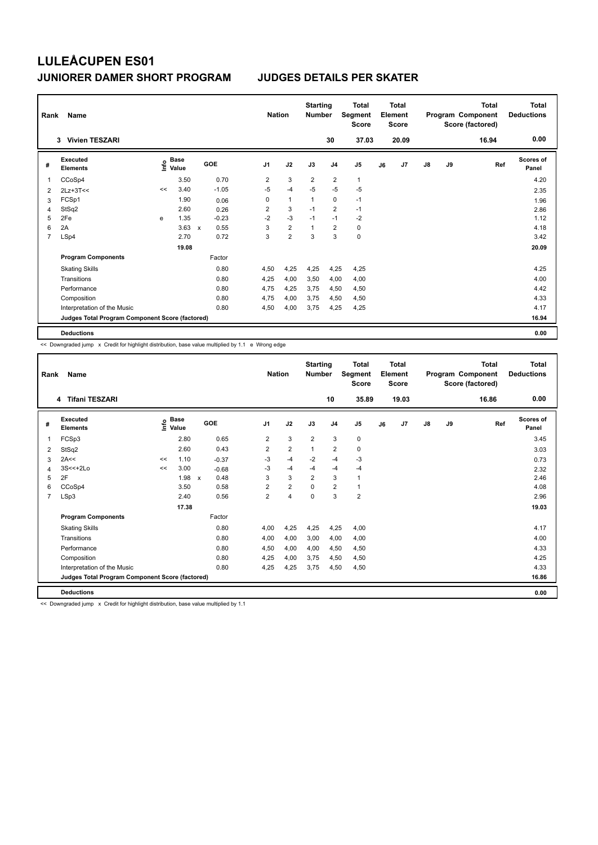| Rank           | Name                                            |    |                                  |              |         | <b>Nation</b>  |                         | <b>Starting</b><br><b>Number</b> |                         | <b>Total</b><br>Segment<br><b>Score</b> |    | <b>Total</b><br>Element<br>Score |               |    | <b>Total</b><br>Program Component<br>Score (factored) | <b>Total</b><br><b>Deductions</b> |
|----------------|-------------------------------------------------|----|----------------------------------|--------------|---------|----------------|-------------------------|----------------------------------|-------------------------|-----------------------------------------|----|----------------------------------|---------------|----|-------------------------------------------------------|-----------------------------------|
|                | <b>Vivien TESZARI</b><br>3                      |    |                                  |              |         |                |                         |                                  | 30                      | 37.03                                   |    | 20.09                            |               |    | 16.94                                                 | 0.00                              |
| #              | Executed<br><b>Elements</b>                     |    | <b>Base</b><br>e Base<br>E Value | <b>GOE</b>   |         | J <sub>1</sub> | J2                      | J3                               | J <sub>4</sub>          | J <sub>5</sub>                          | J6 | J7                               | $\mathsf{J}8$ | J9 | Ref                                                   | <b>Scores of</b><br>Panel         |
|                | CCoSp4                                          |    | 3.50                             |              | 0.70    | 2              | 3                       | $\overline{2}$                   | $\overline{2}$          | $\overline{1}$                          |    |                                  |               |    |                                                       | 4.20                              |
| 2              | $2Lz+3T<<$                                      | << | 3.40                             |              | $-1.05$ | $-5$           | $-4$                    | $-5$                             | $-5$                    | $-5$                                    |    |                                  |               |    |                                                       | 2.35                              |
| 3              | FCSp1                                           |    | 1.90                             |              | 0.06    | 0              | 1                       | $\mathbf{1}$                     | 0                       | $-1$                                    |    |                                  |               |    |                                                       | 1.96                              |
| 4              | StSq2                                           |    | 2.60                             |              | 0.26    | $\overline{2}$ | 3                       | $-1$                             | $\overline{2}$          | $-1$                                    |    |                                  |               |    |                                                       | 2.86                              |
| 5              | 2Fe                                             | e  | 1.35                             |              | $-0.23$ | $-2$           | $-3$                    | $-1$                             | $-1$                    | $-2$                                    |    |                                  |               |    |                                                       | 1.12                              |
| 6              | 2A                                              |    | 3.63                             | $\mathsf{x}$ | 0.55    | 3              | $\overline{\mathbf{c}}$ | $\mathbf{1}$                     | $\overline{\mathbf{c}}$ | 0                                       |    |                                  |               |    |                                                       | 4.18                              |
| $\overline{7}$ | LSp4                                            |    | 2.70                             |              | 0.72    | 3              | $\overline{2}$          | 3                                | 3                       | $\mathbf 0$                             |    |                                  |               |    |                                                       | 3.42                              |
|                |                                                 |    | 19.08                            |              |         |                |                         |                                  |                         |                                         |    |                                  |               |    |                                                       | 20.09                             |
|                | <b>Program Components</b>                       |    |                                  |              | Factor  |                |                         |                                  |                         |                                         |    |                                  |               |    |                                                       |                                   |
|                | <b>Skating Skills</b>                           |    |                                  |              | 0.80    | 4,50           | 4,25                    | 4,25                             | 4,25                    | 4,25                                    |    |                                  |               |    |                                                       | 4.25                              |
|                | Transitions                                     |    |                                  |              | 0.80    | 4,25           | 4,00                    | 3,50                             | 4,00                    | 4,00                                    |    |                                  |               |    |                                                       | 4.00                              |
|                | Performance                                     |    |                                  |              | 0.80    | 4.75           | 4,25                    | 3.75                             | 4,50                    | 4,50                                    |    |                                  |               |    |                                                       | 4.42                              |
|                | Composition                                     |    |                                  |              | 0.80    | 4,75           | 4,00                    | 3,75                             | 4,50                    | 4,50                                    |    |                                  |               |    |                                                       | 4.33                              |
|                | Interpretation of the Music                     |    |                                  |              | 0.80    | 4,50           | 4,00                    | 3,75                             | 4,25                    | 4,25                                    |    |                                  |               |    |                                                       | 4.17                              |
|                | Judges Total Program Component Score (factored) |    |                                  |              |         |                |                         |                                  |                         |                                         |    |                                  |               |    |                                                       | 16.94                             |
|                | <b>Deductions</b>                               |    |                                  |              |         |                |                         |                                  |                         |                                         |    |                                  |               |    |                                                       | 0.00                              |

<< Downgraded jump x Credit for highlight distribution, base value multiplied by 1.1 e Wrong edge

| Rank           | Name<br>4 Tifani TESZARI                        |    |                                  |                                   |                | <b>Nation</b>  | <b>Starting</b><br><b>Number</b> | 10             | <b>Total</b><br>Segment<br><b>Score</b><br>35.89 |    | <b>Total</b><br>Element<br><b>Score</b><br>19.03 |               |    | <b>Total</b><br>Program Component<br>Score (factored)<br>16.86 | <b>Total</b><br><b>Deductions</b><br>0.00 |
|----------------|-------------------------------------------------|----|----------------------------------|-----------------------------------|----------------|----------------|----------------------------------|----------------|--------------------------------------------------|----|--------------------------------------------------|---------------|----|----------------------------------------------------------------|-------------------------------------------|
| #              | Executed<br><b>Elements</b>                     |    | <b>Base</b><br>e Base<br>⊆ Value | GOE                               | J <sub>1</sub> | J2             | J3                               | J <sub>4</sub> | J <sub>5</sub>                                   | J6 | J7                                               | $\mathsf{J}8$ | J9 | Ref                                                            | <b>Scores of</b><br>Panel                 |
| 1              | FCSp3                                           |    | 2.80                             | 0.65                              | $\overline{2}$ | 3              | $\overline{2}$                   | 3              | 0                                                |    |                                                  |               |    |                                                                | 3.45                                      |
| 2              | StSq2                                           |    | 2.60                             | 0.43                              | $\overline{2}$ | $\overline{2}$ | $\mathbf{1}$                     | $\overline{2}$ | $\mathbf 0$                                      |    |                                                  |               |    |                                                                | 3.03                                      |
| 3              | 2A<<                                            | << | 1.10                             | $-0.37$                           | $-3$           | $-4$           | $-2$                             | $-4$           | $-3$                                             |    |                                                  |               |    |                                                                | 0.73                                      |
| 4              | $3S < +2Lo$                                     | << | 3.00                             | $-0.68$                           | $-3$           | $-4$           | $-4$                             | $-4$           | $-4$                                             |    |                                                  |               |    |                                                                | 2.32                                      |
| 5              | 2F                                              |    | 1.98                             | 0.48<br>$\boldsymbol{\mathsf{x}}$ | 3              | 3              | $\overline{2}$                   | 3              | $\mathbf{1}$                                     |    |                                                  |               |    |                                                                | 2.46                                      |
| 6              | CCoSp4                                          |    | 3.50                             | 0.58                              | $\overline{2}$ | $\overline{2}$ | $\Omega$                         | $\overline{2}$ | $\mathbf{1}$                                     |    |                                                  |               |    |                                                                | 4.08                                      |
| $\overline{7}$ | LSp3                                            |    | 2.40                             | 0.56                              | $\overline{2}$ | $\overline{4}$ | $\mathbf 0$                      | 3              | $\overline{2}$                                   |    |                                                  |               |    |                                                                | 2.96                                      |
|                |                                                 |    | 17.38                            |                                   |                |                |                                  |                |                                                  |    |                                                  |               |    |                                                                | 19.03                                     |
|                | <b>Program Components</b>                       |    |                                  | Factor                            |                |                |                                  |                |                                                  |    |                                                  |               |    |                                                                |                                           |
|                | <b>Skating Skills</b>                           |    |                                  | 0.80                              | 4,00           | 4,25           | 4,25                             | 4,25           | 4,00                                             |    |                                                  |               |    |                                                                | 4.17                                      |
|                | Transitions                                     |    |                                  | 0.80                              | 4,00           | 4,00           | 3,00                             | 4,00           | 4,00                                             |    |                                                  |               |    |                                                                | 4.00                                      |
|                | Performance                                     |    |                                  | 0.80                              | 4,50           | 4,00           | 4,00                             | 4,50           | 4,50                                             |    |                                                  |               |    |                                                                | 4.33                                      |
|                | Composition                                     |    |                                  | 0.80                              | 4,25           | 4,00           | 3,75                             | 4,50           | 4,50                                             |    |                                                  |               |    |                                                                | 4.25                                      |
|                | Interpretation of the Music                     |    |                                  | 0.80                              | 4,25           | 4,25           | 3,75                             | 4,50           | 4,50                                             |    |                                                  |               |    |                                                                | 4.33                                      |
|                | Judges Total Program Component Score (factored) |    |                                  |                                   |                |                |                                  |                |                                                  |    |                                                  |               |    |                                                                | 16.86                                     |
|                | <b>Deductions</b>                               |    |                                  |                                   |                |                |                                  |                |                                                  |    |                                                  |               |    |                                                                | 0.00                                      |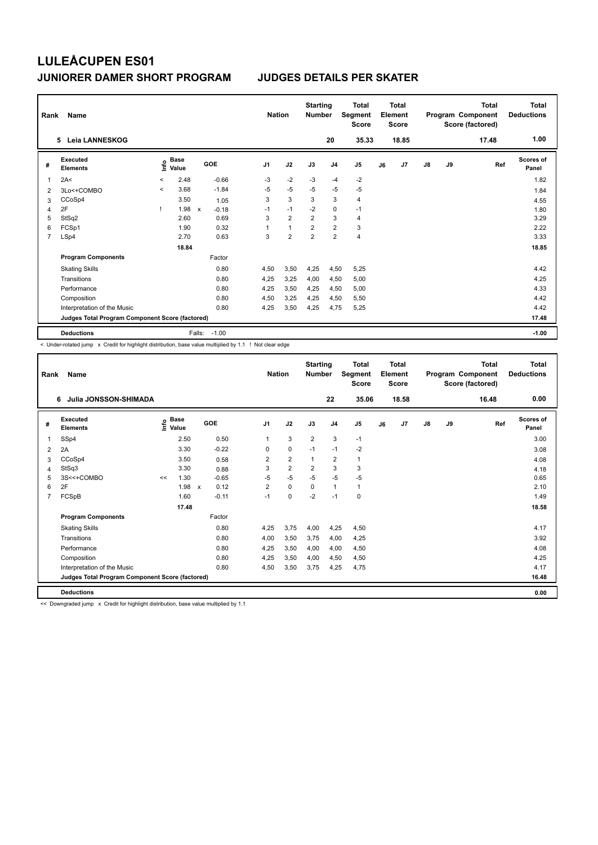| Rank | Name                                            |                          |                                  |              |         |                | <b>Nation</b>  | <b>Starting</b><br><b>Number</b> |                | <b>Total</b><br>Segment<br><b>Score</b> |    | <b>Total</b><br>Element<br>Score |               |    | <b>Total</b><br>Program Component<br>Score (factored) | <b>Total</b><br><b>Deductions</b> |
|------|-------------------------------------------------|--------------------------|----------------------------------|--------------|---------|----------------|----------------|----------------------------------|----------------|-----------------------------------------|----|----------------------------------|---------------|----|-------------------------------------------------------|-----------------------------------|
|      | <b>Leia LANNESKOG</b><br>5.                     |                          |                                  |              |         |                |                |                                  | 20             | 35.33                                   |    | 18.85                            |               |    | 17.48                                                 | 1.00                              |
| #    | Executed<br><b>Elements</b>                     |                          | <b>Base</b><br>e Base<br>⊆ Value |              | GOE     | J <sub>1</sub> | J2             | J3                               | J <sub>4</sub> | J5                                      | J6 | J7                               | $\mathsf{J}8$ | J9 | Ref                                                   | Scores of<br>Panel                |
| 1    | 2A<                                             | $\,<\,$                  | 2.48                             |              | $-0.66$ | $-3$           | $-2$           | $-3$                             | $-4$           | -2                                      |    |                                  |               |    |                                                       | 1.82                              |
| 2    | 3Lo<+COMBO                                      | $\overline{\phantom{a}}$ | 3.68                             |              | $-1.84$ | $-5$           | $-5$           | $-5$                             | $-5$           | $-5$                                    |    |                                  |               |    |                                                       | 1.84                              |
| 3    | CCoSp4                                          |                          | 3.50                             |              | 1.05    | 3              | 3              | 3                                | 3              | $\overline{4}$                          |    |                                  |               |    |                                                       | 4.55                              |
| 4    | 2F                                              |                          | 1.98                             | $\mathsf{x}$ | $-0.18$ | $-1$           | $-1$           | $-2$                             | $\mathbf 0$    | $-1$                                    |    |                                  |               |    |                                                       | 1.80                              |
| 5    | StSq2                                           |                          | 2.60                             |              | 0.69    | 3              | $\overline{2}$ | $\overline{2}$                   | 3              | $\overline{4}$                          |    |                                  |               |    |                                                       | 3.29                              |
| 6    | FCSp1                                           |                          | 1.90                             |              | 0.32    | 1              | $\mathbf{1}$   | $\overline{2}$                   | $\overline{2}$ | 3                                       |    |                                  |               |    |                                                       | 2.22                              |
| 7    | LSp4                                            |                          | 2.70                             |              | 0.63    | 3              | $\overline{2}$ | $\overline{2}$                   | $\overline{2}$ | $\overline{4}$                          |    |                                  |               |    |                                                       | 3.33                              |
|      |                                                 |                          | 18.84                            |              |         |                |                |                                  |                |                                         |    |                                  |               |    |                                                       | 18.85                             |
|      | <b>Program Components</b>                       |                          |                                  |              | Factor  |                |                |                                  |                |                                         |    |                                  |               |    |                                                       |                                   |
|      | <b>Skating Skills</b>                           |                          |                                  |              | 0.80    | 4,50           | 3,50           | 4,25                             | 4,50           | 5,25                                    |    |                                  |               |    |                                                       | 4.42                              |
|      | Transitions                                     |                          |                                  |              | 0.80    | 4,25           | 3,25           | 4,00                             | 4,50           | 5,00                                    |    |                                  |               |    |                                                       | 4.25                              |
|      | Performance                                     |                          |                                  |              | 0.80    | 4,25           | 3,50           | 4,25                             | 4,50           | 5,00                                    |    |                                  |               |    |                                                       | 4.33                              |
|      | Composition                                     |                          |                                  |              | 0.80    | 4,50           | 3,25           | 4,25                             | 4,50           | 5,50                                    |    |                                  |               |    |                                                       | 4.42                              |
|      | Interpretation of the Music                     |                          |                                  |              | 0.80    | 4,25           | 3,50           | 4,25                             | 4,75           | 5,25                                    |    |                                  |               |    |                                                       | 4.42                              |
|      | Judges Total Program Component Score (factored) |                          |                                  |              |         |                |                |                                  |                |                                         |    |                                  |               |    |                                                       | 17.48                             |
|      | <b>Deductions</b>                               |                          |                                  | Falls:       | $-1.00$ |                |                |                                  |                |                                         |    |                                  |               |    |                                                       | $-1.00$                           |

-<br>< Under-rotated jump x Credit for highlight distribution, base value multiplied by 1.1 ! Not clear edge

| Rank           | Name                                            |    |                   |              |         |                | <b>Nation</b>  | <b>Starting</b><br><b>Number</b> |                | <b>Total</b><br>Segment<br><b>Score</b> |    | <b>Total</b><br>Element<br>Score |               |    | <b>Total</b><br>Program Component<br>Score (factored) | <b>Total</b><br><b>Deductions</b> |
|----------------|-------------------------------------------------|----|-------------------|--------------|---------|----------------|----------------|----------------------------------|----------------|-----------------------------------------|----|----------------------------------|---------------|----|-------------------------------------------------------|-----------------------------------|
|                | Julia JONSSON-SHIMADA<br>6                      |    |                   |              |         |                |                |                                  | 22             | 35.06                                   |    | 18.58                            |               |    | 16.48                                                 | 0.00                              |
| #              | <b>Executed</b><br><b>Elements</b>              |    | e Base<br>⊆ Value |              | GOE     | J1             | J2             | J3                               | J <sub>4</sub> | J <sub>5</sub>                          | J6 | J <sub>7</sub>                   | $\mathsf{J}8$ | J9 | Ref                                                   | <b>Scores of</b><br>Panel         |
| 1              | SSp4                                            |    | 2.50              |              | 0.50    | $\mathbf{1}$   | 3              | $\overline{2}$                   | 3              | $-1$                                    |    |                                  |               |    |                                                       | 3.00                              |
| 2              | 2A                                              |    | 3.30              |              | $-0.22$ | 0              | 0              | $-1$                             | $-1$           | $-2$                                    |    |                                  |               |    |                                                       | 3.08                              |
| 3              | CCoSp4                                          |    | 3.50              |              | 0.58    | 2              | $\overline{2}$ | $\mathbf{1}$                     | $\overline{2}$ | 1                                       |    |                                  |               |    |                                                       | 4.08                              |
| 4              | StSq3                                           |    | 3.30              |              | 0.88    | 3              | $\overline{2}$ | $\overline{2}$                   | 3              | 3                                       |    |                                  |               |    |                                                       | 4.18                              |
| 5              | 3S<<+COMBO                                      | << | 1.30              |              | $-0.65$ | $-5$           | $-5$           | $-5$                             | $-5$           | $-5$                                    |    |                                  |               |    |                                                       | 0.65                              |
| 6              | 2F                                              |    | 1.98              | $\mathsf{x}$ | 0.12    | $\overline{2}$ | 0              | $\Omega$                         | $\mathbf{1}$   | 1                                       |    |                                  |               |    |                                                       | 2.10                              |
| $\overline{7}$ | FCSpB                                           |    | 1.60              |              | $-0.11$ | $-1$           | $\mathbf 0$    | $-2$                             | $-1$           | $\mathbf 0$                             |    |                                  |               |    |                                                       | 1.49                              |
|                |                                                 |    | 17.48             |              |         |                |                |                                  |                |                                         |    |                                  |               |    |                                                       | 18.58                             |
|                | <b>Program Components</b>                       |    |                   |              | Factor  |                |                |                                  |                |                                         |    |                                  |               |    |                                                       |                                   |
|                | <b>Skating Skills</b>                           |    |                   |              | 0.80    | 4,25           | 3,75           | 4,00                             | 4,25           | 4,50                                    |    |                                  |               |    |                                                       | 4.17                              |
|                | Transitions                                     |    |                   |              | 0.80    | 4,00           | 3,50           | 3,75                             | 4,00           | 4,25                                    |    |                                  |               |    |                                                       | 3.92                              |
|                | Performance                                     |    |                   |              | 0.80    | 4,25           | 3,50           | 4,00                             | 4,00           | 4,50                                    |    |                                  |               |    |                                                       | 4.08                              |
|                | Composition                                     |    |                   |              | 0.80    | 4,25           | 3,50           | 4,00                             | 4,50           | 4,50                                    |    |                                  |               |    |                                                       | 4.25                              |
|                | Interpretation of the Music                     |    |                   |              | 0.80    | 4.50           | 3.50           | 3.75                             | 4.25           | 4.75                                    |    |                                  |               |    |                                                       | 4.17                              |
|                | Judges Total Program Component Score (factored) |    |                   |              |         |                |                |                                  |                |                                         |    |                                  |               |    |                                                       | 16.48                             |
|                | <b>Deductions</b>                               |    |                   |              |         |                |                |                                  |                |                                         |    |                                  |               |    |                                                       | 0.00                              |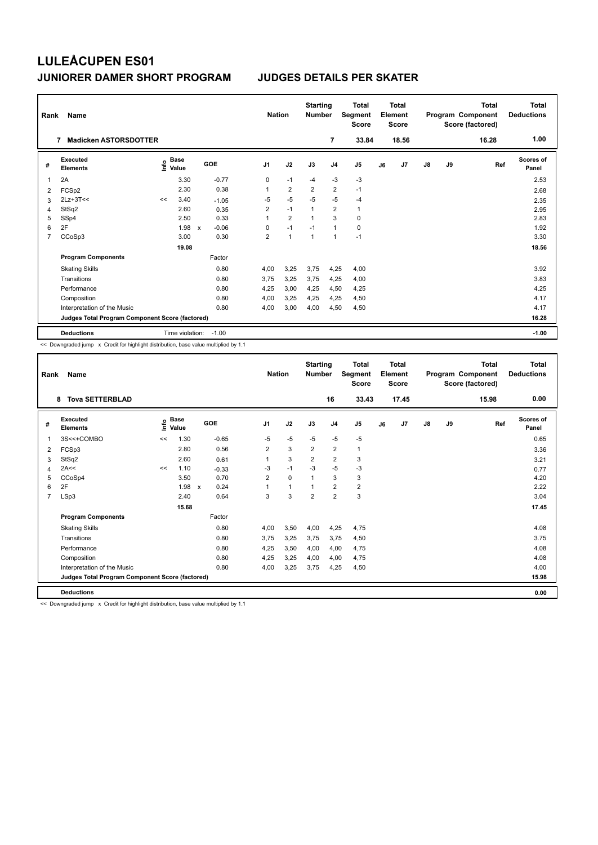| Rank | Name                                            |    |                                  |              |            |                | <b>Nation</b>  | <b>Starting</b><br><b>Number</b> |                | <b>Total</b><br>Segment<br><b>Score</b> |    | Total<br>Element<br><b>Score</b> |               |    | <b>Total</b><br>Program Component<br>Score (factored) | <b>Total</b><br><b>Deductions</b> |
|------|-------------------------------------------------|----|----------------------------------|--------------|------------|----------------|----------------|----------------------------------|----------------|-----------------------------------------|----|----------------------------------|---------------|----|-------------------------------------------------------|-----------------------------------|
|      | <b>Madicken ASTORSDOTTER</b><br>7               |    |                                  |              |            |                |                |                                  | 7              | 33.84                                   |    | 18.56                            |               |    | 16.28                                                 | 1.00                              |
| #    | <b>Executed</b><br><b>Elements</b>              |    | <b>Base</b><br>e Base<br>⊆ Value |              | <b>GOE</b> | J <sub>1</sub> | J2             | J3                               | J <sub>4</sub> | J5                                      | J6 | J <sub>7</sub>                   | $\mathsf{J}8$ | J9 | Ref                                                   | <b>Scores of</b><br>Panel         |
| 1    | 2A                                              |    | 3.30                             |              | $-0.77$    | 0              | $-1$           | $-4$                             | $-3$           | $-3$                                    |    |                                  |               |    |                                                       | 2.53                              |
| 2    | FCSp2                                           |    | 2.30                             |              | 0.38       | 1              | $\overline{2}$ | $\overline{2}$                   | $\overline{2}$ | $-1$                                    |    |                                  |               |    |                                                       | 2.68                              |
| 3    | $2Lz+3T<<$                                      | << | 3.40                             |              | $-1.05$    | $-5$           | $-5$           | $-5$                             | $-5$           | $-4$                                    |    |                                  |               |    |                                                       | 2.35                              |
| 4    | StSq2                                           |    | 2.60                             |              | 0.35       | $\overline{2}$ | $-1$           | 1                                | $\overline{2}$ | $\mathbf{1}$                            |    |                                  |               |    |                                                       | 2.95                              |
| 5    | SSp4                                            |    | 2.50                             |              | 0.33       | 1              | $\overline{2}$ | $\overline{1}$                   | 3              | 0                                       |    |                                  |               |    |                                                       | 2.83                              |
| 6    | 2F                                              |    | 1.98                             | $\mathsf{x}$ | $-0.06$    | 0              | $-1$           | $-1$                             | $\overline{1}$ | $\pmb{0}$                               |    |                                  |               |    |                                                       | 1.92                              |
| 7    | CCoSp3                                          |    | 3.00                             |              | 0.30       | $\overline{2}$ | $\mathbf{1}$   | $\overline{1}$                   | 1              | $-1$                                    |    |                                  |               |    |                                                       | 3.30                              |
|      |                                                 |    | 19.08                            |              |            |                |                |                                  |                |                                         |    |                                  |               |    |                                                       | 18.56                             |
|      | <b>Program Components</b>                       |    |                                  |              | Factor     |                |                |                                  |                |                                         |    |                                  |               |    |                                                       |                                   |
|      | <b>Skating Skills</b>                           |    |                                  |              | 0.80       | 4.00           | 3,25           | 3,75                             | 4,25           | 4,00                                    |    |                                  |               |    |                                                       | 3.92                              |
|      | Transitions                                     |    |                                  |              | 0.80       | 3.75           | 3,25           | 3.75                             | 4,25           | 4,00                                    |    |                                  |               |    |                                                       | 3.83                              |
|      | Performance                                     |    |                                  |              | 0.80       | 4,25           | 3,00           | 4,25                             | 4,50           | 4,25                                    |    |                                  |               |    |                                                       | 4.25                              |
|      | Composition                                     |    |                                  |              | 0.80       | 4.00           | 3,25           | 4.25                             | 4,25           | 4,50                                    |    |                                  |               |    |                                                       | 4.17                              |
|      | Interpretation of the Music                     |    |                                  |              | 0.80       | 4,00           | 3,00           | 4,00                             | 4,50           | 4,50                                    |    |                                  |               |    |                                                       | 4.17                              |
|      | Judges Total Program Component Score (factored) |    |                                  |              |            |                |                |                                  |                |                                         |    |                                  |               |    |                                                       | 16.28                             |
|      | <b>Deductions</b>                               |    | Time violation:                  |              | $-1.00$    |                |                |                                  |                |                                         |    |                                  |               |    |                                                       | $-1.00$                           |

<< Downgraded jump x Credit for highlight distribution, base value multiplied by 1.1

| Rank           | Name                                            |                             |       |                      |                | <b>Nation</b> | <b>Starting</b><br><b>Number</b> |                | <b>Total</b><br>Segment<br><b>Score</b> |    | <b>Total</b><br>Element<br><b>Score</b> |               |    | <b>Total</b><br>Program Component<br>Score (factored) | <b>Total</b><br><b>Deductions</b> |
|----------------|-------------------------------------------------|-----------------------------|-------|----------------------|----------------|---------------|----------------------------------|----------------|-----------------------------------------|----|-----------------------------------------|---------------|----|-------------------------------------------------------|-----------------------------------|
|                | <b>Tova SETTERBLAD</b><br>8                     |                             |       |                      |                |               |                                  | 16             | 33.43                                   |    | 17.45                                   |               |    | 15.98                                                 | 0.00                              |
| #              | Executed<br><b>Elements</b>                     | $\sum_{k=1}^{\infty}$ Value |       | GOE                  | J <sub>1</sub> | J2            | J3                               | J <sub>4</sub> | J5                                      | J6 | J <sub>7</sub>                          | $\mathsf{J}8$ | J9 | Ref                                                   | Scores of<br>Panel                |
| 1              | 3S<<+COMBO                                      | <<                          | 1.30  | $-0.65$              | $-5$           | $-5$          | $-5$                             | $-5$           | $-5$                                    |    |                                         |               |    |                                                       | 0.65                              |
| 2              | FCSp3                                           |                             | 2.80  | 0.56                 | $\overline{2}$ | 3             | $\overline{2}$                   | $\overline{2}$ | 1                                       |    |                                         |               |    |                                                       | 3.36                              |
| 3              | StSq2                                           |                             | 2.60  | 0.61                 |                | 3             | $\overline{2}$                   | 2              | 3                                       |    |                                         |               |    |                                                       | 3.21                              |
| 4              | 2A<<                                            | <<                          | 1.10  | $-0.33$              | $-3$           | $-1$          | $-3$                             | $-5$           | $-3$                                    |    |                                         |               |    |                                                       | 0.77                              |
| 5              | CCoSp4                                          |                             | 3.50  | 0.70                 | $\overline{2}$ | $\Omega$      | 1                                | 3              | 3                                       |    |                                         |               |    |                                                       | 4.20                              |
| 6              | 2F                                              |                             | 1.98  | 0.24<br>$\mathsf{x}$ |                | $\mathbf{1}$  |                                  | $\overline{2}$ | $\overline{\mathbf{c}}$                 |    |                                         |               |    |                                                       | 2.22                              |
| $\overline{7}$ | LSp3                                            |                             | 2.40  | 0.64                 | 3              | 3             | $\overline{2}$                   | $\overline{2}$ | 3                                       |    |                                         |               |    |                                                       | 3.04                              |
|                |                                                 |                             | 15.68 |                      |                |               |                                  |                |                                         |    |                                         |               |    |                                                       | 17.45                             |
|                | <b>Program Components</b>                       |                             |       | Factor               |                |               |                                  |                |                                         |    |                                         |               |    |                                                       |                                   |
|                | <b>Skating Skills</b>                           |                             |       | 0.80                 | 4,00           | 3,50          | 4,00                             | 4,25           | 4,75                                    |    |                                         |               |    |                                                       | 4.08                              |
|                | Transitions                                     |                             |       | 0.80                 | 3.75           | 3,25          | 3,75                             | 3,75           | 4,50                                    |    |                                         |               |    |                                                       | 3.75                              |
|                | Performance                                     |                             |       | 0.80                 | 4,25           | 3,50          | 4,00                             | 4,00           | 4,75                                    |    |                                         |               |    |                                                       | 4.08                              |
|                | Composition                                     |                             |       | 0.80                 | 4,25           | 3,25          | 4,00                             | 4,00           | 4,75                                    |    |                                         |               |    |                                                       | 4.08                              |
|                | Interpretation of the Music                     |                             |       | 0.80                 | 4,00           | 3,25          | 3,75                             | 4,25           | 4,50                                    |    |                                         |               |    |                                                       | 4.00                              |
|                | Judges Total Program Component Score (factored) |                             |       |                      |                |               |                                  |                |                                         |    |                                         |               |    |                                                       | 15.98                             |
|                | <b>Deductions</b>                               |                             |       |                      |                |               |                                  |                |                                         |    |                                         |               |    |                                                       | 0.00                              |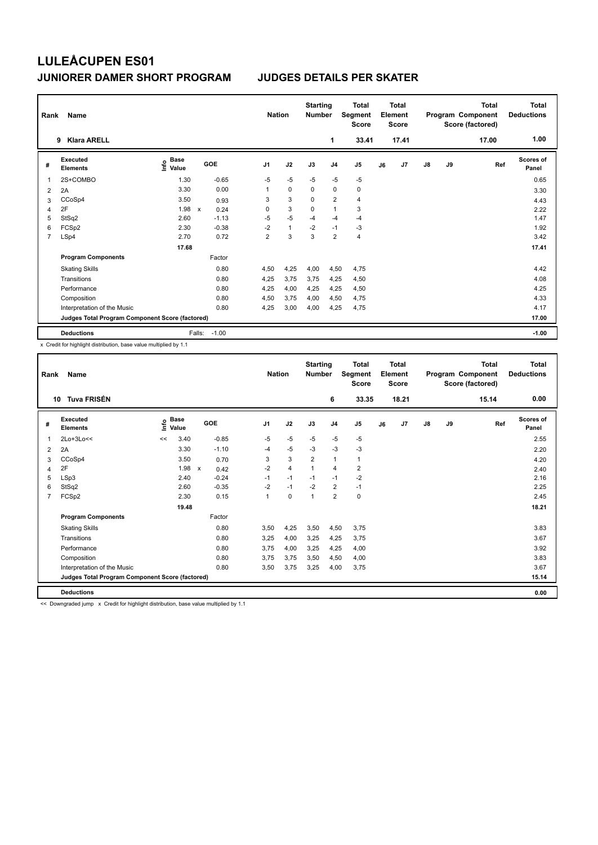| Rank           | Name                                            |                                  |                           |            |      | <b>Nation</b> |              | <b>Starting</b><br><b>Number</b> |                | <b>Total</b><br>Segment<br><b>Score</b> |    | <b>Total</b><br>Element<br><b>Score</b> |               |    | Total<br>Program Component<br>Score (factored) | <b>Total</b><br><b>Deductions</b> |
|----------------|-------------------------------------------------|----------------------------------|---------------------------|------------|------|---------------|--------------|----------------------------------|----------------|-----------------------------------------|----|-----------------------------------------|---------------|----|------------------------------------------------|-----------------------------------|
|                | <b>Klara ARELL</b><br>9                         |                                  |                           |            |      |               |              |                                  | 1              | 33.41                                   |    | 17.41                                   |               |    | 17.00                                          | 1.00                              |
| #              | Executed<br><b>Elements</b>                     | <b>Base</b><br>e Base<br>E Value |                           | <b>GOE</b> | J1   |               | J2           | J3                               | J <sub>4</sub> | J <sub>5</sub>                          | J6 | J7                                      | $\mathsf{J}8$ | J9 | Ref                                            | Scores of<br>Panel                |
|                | 2S+COMBO                                        | 1.30                             |                           | $-0.65$    | $-5$ |               | $-5$         | $-5$                             | $-5$           | $-5$                                    |    |                                         |               |    |                                                | 0.65                              |
| $\overline{2}$ | 2A                                              | 3.30                             |                           | 0.00       | 1    |               | $\mathbf 0$  | 0                                | 0              | 0                                       |    |                                         |               |    |                                                | 3.30                              |
| 3              | CCoSp4                                          | 3.50                             |                           | 0.93       | 3    |               | 3            | $\Omega$                         | $\overline{2}$ | $\overline{4}$                          |    |                                         |               |    |                                                | 4.43                              |
| 4              | 2F                                              | 1.98                             | $\boldsymbol{\mathsf{x}}$ | 0.24       | 0    |               | 3            | $\Omega$                         | $\overline{1}$ | 3                                       |    |                                         |               |    |                                                | 2.22                              |
| 5              | StSq2                                           | 2.60                             |                           | $-1.13$    | $-5$ |               | $-5$         | $-4$                             | $-4$           | $-4$                                    |    |                                         |               |    |                                                | 1.47                              |
| 6              | FCSp2                                           | 2.30                             |                           | $-0.38$    | $-2$ |               | $\mathbf{1}$ | $-2$                             | $-1$           | $-3$                                    |    |                                         |               |    |                                                | 1.92                              |
| $\overline{7}$ | LSp4                                            | 2.70                             |                           | 0.72       | 2    |               | 3            | 3                                | $\overline{2}$ | $\overline{4}$                          |    |                                         |               |    |                                                | 3.42                              |
|                |                                                 | 17.68                            |                           |            |      |               |              |                                  |                |                                         |    |                                         |               |    |                                                | 17.41                             |
|                | <b>Program Components</b>                       |                                  |                           | Factor     |      |               |              |                                  |                |                                         |    |                                         |               |    |                                                |                                   |
|                | <b>Skating Skills</b>                           |                                  |                           | 0.80       | 4,50 |               | 4,25         | 4,00                             | 4,50           | 4,75                                    |    |                                         |               |    |                                                | 4.42                              |
|                | Transitions                                     |                                  |                           | 0.80       | 4,25 |               | 3,75         | 3,75                             | 4,25           | 4,50                                    |    |                                         |               |    |                                                | 4.08                              |
|                | Performance                                     |                                  |                           | 0.80       | 4,25 |               | 4,00         | 4,25                             | 4,25           | 4,50                                    |    |                                         |               |    |                                                | 4.25                              |
|                | Composition                                     |                                  |                           | 0.80       | 4,50 |               | 3,75         | 4,00                             | 4,50           | 4,75                                    |    |                                         |               |    |                                                | 4.33                              |
|                | Interpretation of the Music                     |                                  |                           | 0.80       | 4,25 |               | 3,00         | 4,00                             | 4,25           | 4,75                                    |    |                                         |               |    |                                                | 4.17                              |
|                | Judges Total Program Component Score (factored) |                                  |                           |            |      |               |              |                                  |                |                                         |    |                                         |               |    |                                                | 17.00                             |
|                | <b>Deductions</b>                               |                                  | Falls:                    | $-1.00$    |      |               |              |                                  |                |                                         |    |                                         |               |    |                                                | $-1.00$                           |

x Credit for highlight distribution, base value multiplied by 1.1

| Rank | Name                                            |                            |       |                      | <b>Nation</b>  |                | <b>Starting</b><br><b>Number</b> |                | <b>Total</b><br>Segment<br><b>Score</b> |    | <b>Total</b><br>Element<br><b>Score</b> |               |    | <b>Total</b><br>Program Component<br>Score (factored) | <b>Total</b><br><b>Deductions</b> |
|------|-------------------------------------------------|----------------------------|-------|----------------------|----------------|----------------|----------------------------------|----------------|-----------------------------------------|----|-----------------------------------------|---------------|----|-------------------------------------------------------|-----------------------------------|
| 10   | <b>Tuva FRISÉN</b>                              |                            |       |                      |                |                |                                  | 6              | 33.35                                   |    | 18.21                                   |               |    | 15.14                                                 | 0.00                              |
| #    | <b>Executed</b><br><b>Elements</b>              | $\sum_{k=1}^{\infty}$ Pase |       | <b>GOE</b>           | J <sub>1</sub> | J2             | J3                               | J <sub>4</sub> | J5                                      | J6 | J7                                      | $\mathsf{J}8$ | J9 | Ref                                                   | <b>Scores of</b><br>Panel         |
| 1    | 2Lo+3Lo<<                                       | <<                         | 3.40  | $-0.85$              | -5             | $-5$           | $-5$                             | $-5$           | $-5$                                    |    |                                         |               |    |                                                       | 2.55                              |
| 2    | 2A                                              |                            | 3.30  | $-1.10$              | $-4$           | $-5$           | $-3$                             | $-3$           | $-3$                                    |    |                                         |               |    |                                                       | 2.20                              |
| 3    | CCoSp4                                          |                            | 3.50  | 0.70                 | 3              | 3              | $\overline{2}$                   | $\mathbf{1}$   | 1                                       |    |                                         |               |    |                                                       | 4.20                              |
| 4    | 2F                                              |                            | 1.98  | 0.42<br>$\mathsf{x}$ | $-2$           | $\overline{4}$ | $\mathbf{1}$                     | $\overline{4}$ | 2                                       |    |                                         |               |    |                                                       | 2.40                              |
| 5    | LSp3                                            |                            | 2.40  | $-0.24$              | $-1$           | $-1$           | $-1$                             | $-1$           | $-2$                                    |    |                                         |               |    |                                                       | 2.16                              |
| 6    | StSq2                                           |                            | 2.60  | $-0.35$              | $-2$           | $-1$           | $-2$                             | $\overline{2}$ | $-1$                                    |    |                                         |               |    |                                                       | 2.25                              |
| 7    | FCSp2                                           |                            | 2.30  | 0.15                 | $\mathbf{1}$   | 0              | $\mathbf{1}$                     | 2              | 0                                       |    |                                         |               |    |                                                       | 2.45                              |
|      |                                                 |                            | 19.48 |                      |                |                |                                  |                |                                         |    |                                         |               |    |                                                       | 18.21                             |
|      | <b>Program Components</b>                       |                            |       | Factor               |                |                |                                  |                |                                         |    |                                         |               |    |                                                       |                                   |
|      | <b>Skating Skills</b>                           |                            |       | 0.80                 | 3,50           | 4,25           | 3,50                             | 4,50           | 3,75                                    |    |                                         |               |    |                                                       | 3.83                              |
|      | Transitions                                     |                            |       | 0.80                 | 3,25           | 4,00           | 3,25                             | 4,25           | 3,75                                    |    |                                         |               |    |                                                       | 3.67                              |
|      | Performance                                     |                            |       | 0.80                 | 3,75           | 4,00           | 3,25                             | 4,25           | 4,00                                    |    |                                         |               |    |                                                       | 3.92                              |
|      | Composition                                     |                            |       | 0.80                 | 3,75           | 3,75           | 3,50                             | 4,50           | 4,00                                    |    |                                         |               |    |                                                       | 3.83                              |
|      | Interpretation of the Music                     |                            |       | 0.80                 | 3,50           | 3,75           | 3,25                             | 4,00           | 3,75                                    |    |                                         |               |    |                                                       | 3.67                              |
|      | Judges Total Program Component Score (factored) |                            |       |                      |                |                |                                  |                |                                         |    |                                         |               |    |                                                       | 15.14                             |
|      | <b>Deductions</b>                               |                            |       |                      |                |                |                                  |                |                                         |    |                                         |               |    |                                                       | 0.00                              |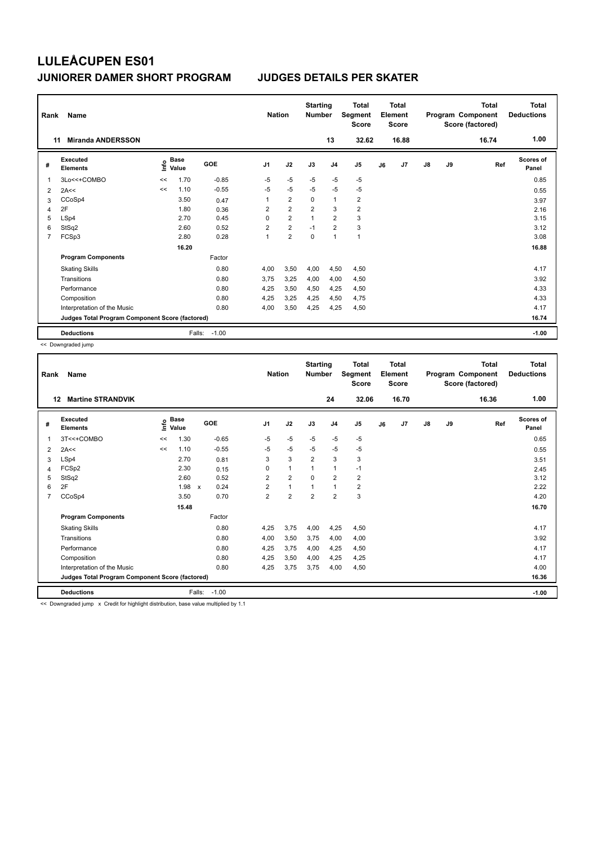| Rank           | Name                                            |    |                      |         | <b>Nation</b>  |                | <b>Starting</b><br><b>Number</b> |                | <b>Total</b><br>Segment<br><b>Score</b> |    | <b>Total</b><br>Element<br><b>Score</b> |               |    | <b>Total</b><br>Program Component<br>Score (factored) | Total<br><b>Deductions</b> |
|----------------|-------------------------------------------------|----|----------------------|---------|----------------|----------------|----------------------------------|----------------|-----------------------------------------|----|-----------------------------------------|---------------|----|-------------------------------------------------------|----------------------------|
|                | <b>Miranda ANDERSSON</b><br>11                  |    |                      |         |                |                |                                  | 13             | 32.62                                   |    | 16.88                                   |               |    | 16.74                                                 | 1.00                       |
| #              | Executed<br><b>Elements</b>                     | ۴۵ | <b>Base</b><br>Value | GOE     | J <sub>1</sub> | J2             | J3                               | J <sub>4</sub> | J <sub>5</sub>                          | J6 | J7                                      | $\mathsf{J}8$ | J9 | Ref                                                   | <b>Scores of</b><br>Panel  |
| 1              | 3Lo<<+COMBO                                     | << | 1.70                 | $-0.85$ | $-5$           | $-5$           | $-5$                             | $-5$           | $-5$                                    |    |                                         |               |    |                                                       | 0.85                       |
| 2              | 2A<<                                            | << | 1.10                 | $-0.55$ | $-5$           | $-5$           | $-5$                             | $-5$           | $-5$                                    |    |                                         |               |    |                                                       | 0.55                       |
| 3              | CCoSp4                                          |    | 3.50                 | 0.47    | 1              | $\overline{2}$ | 0                                | $\mathbf{1}$   | $\overline{2}$                          |    |                                         |               |    |                                                       | 3.97                       |
| 4              | 2F                                              |    | 1.80                 | 0.36    | $\overline{2}$ | $\overline{2}$ | $\overline{2}$                   | 3              | $\overline{2}$                          |    |                                         |               |    |                                                       | 2.16                       |
| 5              | LSp4                                            |    | 2.70                 | 0.45    | 0              | $\overline{2}$ | $\overline{1}$                   | $\overline{2}$ | 3                                       |    |                                         |               |    |                                                       | 3.15                       |
| 6              | StSq2                                           |    | 2.60                 | 0.52    | $\overline{2}$ | $\overline{2}$ | $-1$                             | $\overline{2}$ | 3                                       |    |                                         |               |    |                                                       | 3.12                       |
| $\overline{7}$ | FCSp3                                           |    | 2.80                 | 0.28    | 1              | $\overline{2}$ | $\mathbf 0$                      | $\overline{1}$ | $\mathbf{1}$                            |    |                                         |               |    |                                                       | 3.08                       |
|                |                                                 |    | 16.20                |         |                |                |                                  |                |                                         |    |                                         |               |    |                                                       | 16.88                      |
|                | <b>Program Components</b>                       |    |                      | Factor  |                |                |                                  |                |                                         |    |                                         |               |    |                                                       |                            |
|                | <b>Skating Skills</b>                           |    |                      | 0.80    | 4.00           | 3,50           | 4,00                             | 4,50           | 4,50                                    |    |                                         |               |    |                                                       | 4.17                       |
|                | Transitions                                     |    |                      | 0.80    | 3.75           | 3,25           | 4,00                             | 4,00           | 4,50                                    |    |                                         |               |    |                                                       | 3.92                       |
|                | Performance                                     |    |                      | 0.80    | 4,25           | 3,50           | 4,50                             | 4,25           | 4,50                                    |    |                                         |               |    |                                                       | 4.33                       |
|                | Composition                                     |    |                      | 0.80    | 4,25           | 3,25           | 4,25                             | 4,50           | 4,75                                    |    |                                         |               |    |                                                       | 4.33                       |
|                | Interpretation of the Music                     |    |                      | 0.80    | 4,00           | 3,50           | 4,25                             | 4,25           | 4,50                                    |    |                                         |               |    |                                                       | 4.17                       |
|                | Judges Total Program Component Score (factored) |    |                      |         |                |                |                                  |                |                                         |    |                                         |               |    |                                                       | 16.74                      |
|                | <b>Deductions</b>                               |    | Falls:               | $-1.00$ |                |                |                                  |                |                                         |    |                                         |               |    |                                                       | $-1.00$                    |

<< Downgraded jump

| Rank           | <b>Name</b>                                     |      |                      |                      |                | <b>Nation</b>  | <b>Starting</b><br><b>Number</b> |                | <b>Total</b><br>Segment<br><b>Score</b> |    | <b>Total</b><br>Element<br><b>Score</b> |    |    | <b>Total</b><br>Program Component<br>Score (factored) | <b>Total</b><br><b>Deductions</b> |
|----------------|-------------------------------------------------|------|----------------------|----------------------|----------------|----------------|----------------------------------|----------------|-----------------------------------------|----|-----------------------------------------|----|----|-------------------------------------------------------|-----------------------------------|
| 12             | <b>Martine STRANDVIK</b>                        |      |                      |                      |                |                |                                  | 24             | 32.06                                   |    | 16.70                                   |    |    | 16.36                                                 | 1.00                              |
| #              | Executed<br><b>Elements</b>                     | lnfo | <b>Base</b><br>Value | <b>GOE</b>           | J <sub>1</sub> | J2             | J3                               | J <sub>4</sub> | J <sub>5</sub>                          | J6 | J7                                      | J8 | J9 | Ref                                                   | <b>Scores of</b><br>Panel         |
| 1              | 3T<<+COMBO                                      | <<   | 1.30                 | $-0.65$              | $-5$           | $-5$           | $-5$                             | $-5$           | $-5$                                    |    |                                         |    |    |                                                       | 0.65                              |
| 2              | 2A<<                                            | <<   | 1.10                 | $-0.55$              | $-5$           | $-5$           | $-5$                             | $-5$           | $-5$                                    |    |                                         |    |    |                                                       | 0.55                              |
| 3              | LSp4                                            |      | 2.70                 | 0.81                 | 3              | 3              | 2                                | 3              | 3                                       |    |                                         |    |    |                                                       | 3.51                              |
| 4              | FCSp2                                           |      | 2.30                 | 0.15                 | 0              | 1              | 1                                | 1              | $-1$                                    |    |                                         |    |    |                                                       | 2.45                              |
| 5              | StSq2                                           |      | 2.60                 | 0.52                 | $\overline{2}$ | $\overline{2}$ | 0                                | $\overline{2}$ | $\overline{2}$                          |    |                                         |    |    |                                                       | 3.12                              |
| 6              | 2F                                              |      | 1.98                 | 0.24<br>$\mathsf{x}$ | $\overline{2}$ | $\overline{1}$ |                                  | $\mathbf{1}$   | $\overline{\mathbf{c}}$                 |    |                                         |    |    |                                                       | 2.22                              |
| $\overline{7}$ | CCoSp4                                          |      | 3.50                 | 0.70                 | $\overline{2}$ | $\overline{2}$ | $\overline{2}$                   | $\overline{2}$ | 3                                       |    |                                         |    |    |                                                       | 4.20                              |
|                |                                                 |      | 15.48                |                      |                |                |                                  |                |                                         |    |                                         |    |    |                                                       | 16.70                             |
|                | <b>Program Components</b>                       |      |                      | Factor               |                |                |                                  |                |                                         |    |                                         |    |    |                                                       |                                   |
|                | <b>Skating Skills</b>                           |      |                      | 0.80                 | 4,25           | 3,75           | 4,00                             | 4,25           | 4,50                                    |    |                                         |    |    |                                                       | 4.17                              |
|                | Transitions                                     |      |                      | 0.80                 | 4,00           | 3,50           | 3,75                             | 4,00           | 4,00                                    |    |                                         |    |    |                                                       | 3.92                              |
|                | Performance                                     |      |                      | 0.80                 | 4,25           | 3,75           | 4,00                             | 4,25           | 4,50                                    |    |                                         |    |    |                                                       | 4.17                              |
|                | Composition                                     |      |                      | 0.80                 | 4,25           | 3,50           | 4,00                             | 4,25           | 4,25                                    |    |                                         |    |    |                                                       | 4.17                              |
|                | Interpretation of the Music                     |      |                      | 0.80                 | 4,25           | 3,75           | 3,75                             | 4,00           | 4,50                                    |    |                                         |    |    |                                                       | 4.00                              |
|                | Judges Total Program Component Score (factored) |      |                      |                      |                |                |                                  |                |                                         |    |                                         |    |    |                                                       | 16.36                             |
|                | <b>Deductions</b>                               |      |                      | $-1.00$<br>Falls:    |                |                |                                  |                |                                         |    |                                         |    |    |                                                       | $-1.00$                           |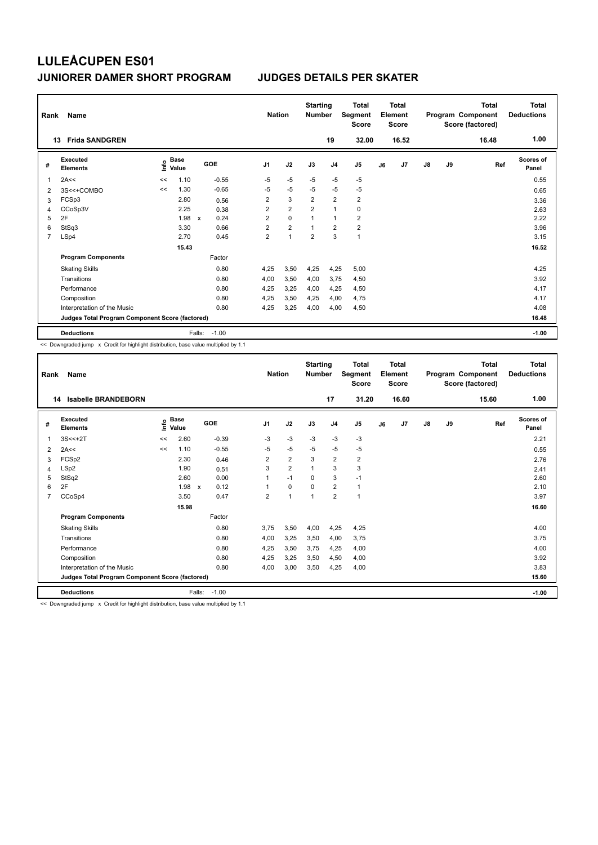| Rank | Name                                            |      |                      |              |         | <b>Nation</b>  |                | <b>Starting</b><br><b>Number</b> |                | <b>Total</b><br>Segment<br><b>Score</b> |    | Total<br>Element<br><b>Score</b> |               |    | <b>Total</b><br>Program Component<br>Score (factored) | Total<br><b>Deductions</b> |
|------|-------------------------------------------------|------|----------------------|--------------|---------|----------------|----------------|----------------------------------|----------------|-----------------------------------------|----|----------------------------------|---------------|----|-------------------------------------------------------|----------------------------|
|      | <b>Frida SANDGREN</b><br>13                     |      |                      |              |         |                |                |                                  | 19             | 32.00                                   |    | 16.52                            |               |    | 16.48                                                 | 1.00                       |
| #    | <b>Executed</b><br><b>Elements</b>              | ١nf٥ | <b>Base</b><br>Value | GOE          |         | J <sub>1</sub> | J2             | J3                               | J <sub>4</sub> | J5                                      | J6 | J <sub>7</sub>                   | $\mathsf{J}8$ | J9 | Ref                                                   | <b>Scores of</b><br>Panel  |
| 1    | 2A<<                                            | <<   | 1.10                 |              | $-0.55$ | $-5$           | $-5$           | $-5$                             | $-5$           | $-5$                                    |    |                                  |               |    |                                                       | 0.55                       |
| 2    | 3S<<+COMBO                                      | <<   | 1.30                 |              | $-0.65$ | $-5$           | $-5$           | $-5$                             | $-5$           | $-5$                                    |    |                                  |               |    |                                                       | 0.65                       |
| 3    | FCSp3                                           |      | 2.80                 |              | 0.56    | $\overline{2}$ | 3              | $\overline{2}$                   | $\overline{2}$ | $\overline{2}$                          |    |                                  |               |    |                                                       | 3.36                       |
| 4    | CCoSp3V                                         |      | 2.25                 |              | 0.38    | $\overline{2}$ | $\overline{2}$ | $\overline{2}$                   | $\overline{1}$ | 0                                       |    |                                  |               |    |                                                       | 2.63                       |
| 5    | 2F                                              |      | 1.98                 | $\mathsf{x}$ | 0.24    | $\overline{2}$ | $\mathbf 0$    | 1                                | $\overline{1}$ | $\overline{2}$                          |    |                                  |               |    |                                                       | 2.22                       |
| 6    | StSq3                                           |      | 3.30                 |              | 0.66    | $\overline{2}$ | $\overline{2}$ |                                  | $\overline{2}$ | $\overline{2}$                          |    |                                  |               |    |                                                       | 3.96                       |
| 7    | LSp4                                            |      | 2.70                 |              | 0.45    | $\overline{2}$ | 1              | $\overline{2}$                   | 3              | $\mathbf{1}$                            |    |                                  |               |    |                                                       | 3.15                       |
|      |                                                 |      | 15.43                |              |         |                |                |                                  |                |                                         |    |                                  |               |    |                                                       | 16.52                      |
|      | <b>Program Components</b>                       |      |                      |              | Factor  |                |                |                                  |                |                                         |    |                                  |               |    |                                                       |                            |
|      | <b>Skating Skills</b>                           |      |                      |              | 0.80    | 4,25           | 3,50           | 4,25                             | 4,25           | 5,00                                    |    |                                  |               |    |                                                       | 4.25                       |
|      | Transitions                                     |      |                      |              | 0.80    | 4,00           | 3,50           | 4,00                             | 3,75           | 4,50                                    |    |                                  |               |    |                                                       | 3.92                       |
|      | Performance                                     |      |                      |              | 0.80    | 4,25           | 3,25           | 4.00                             | 4,25           | 4,50                                    |    |                                  |               |    |                                                       | 4.17                       |
|      | Composition                                     |      |                      |              | 0.80    | 4,25           | 3,50           | 4.25                             | 4,00           | 4.75                                    |    |                                  |               |    |                                                       | 4.17                       |
|      | Interpretation of the Music                     |      |                      |              | 0.80    | 4,25           | 3,25           | 4,00                             | 4,00           | 4,50                                    |    |                                  |               |    |                                                       | 4.08                       |
|      | Judges Total Program Component Score (factored) |      |                      |              |         |                |                |                                  |                |                                         |    |                                  |               |    |                                                       | 16.48                      |
|      | <b>Deductions</b>                               |      |                      | Falls:       | $-1.00$ |                |                |                                  |                |                                         |    |                                  |               |    |                                                       | $-1.00$                    |

<< Downgraded jump x Credit for highlight distribution, base value multiplied by 1.1

| Rank           | Name                                            |                   |       |                      |                | <b>Nation</b> |                | <b>Starting</b><br><b>Number</b> |                | <b>Total</b><br>Segment<br><b>Score</b> |    | Total<br>Element<br><b>Score</b> |               |    | <b>Total</b><br>Program Component<br>Score (factored) | <b>Total</b><br><b>Deductions</b> |
|----------------|-------------------------------------------------|-------------------|-------|----------------------|----------------|---------------|----------------|----------------------------------|----------------|-----------------------------------------|----|----------------------------------|---------------|----|-------------------------------------------------------|-----------------------------------|
|                | <b>Isabelle BRANDEBORN</b><br>14                |                   |       |                      |                |               |                |                                  | 17             | 31.20                                   |    | 16.60                            |               |    | 15.60                                                 | 1.00                              |
| #              | Executed<br><b>Elements</b>                     | e Base<br>⊆ Value | Value | <b>GOE</b>           | J <sub>1</sub> |               | J2             | J3                               | J <sub>4</sub> | J5                                      | J6 | J7                               | $\mathsf{J}8$ | J9 | Ref                                                   | <b>Scores of</b><br>Panel         |
| 1              | $3S < +2T$                                      | <<                | 2.60  | $-0.39$              | -3             |               | $-3$           | -3                               | $-3$           | $-3$                                    |    |                                  |               |    |                                                       | 2.21                              |
| 2              | 2A<<                                            | <<                | 1.10  | $-0.55$              | -5             |               | $-5$           | $-5$                             | $-5$           | $-5$                                    |    |                                  |               |    |                                                       | 0.55                              |
| 3              | FCSp2                                           |                   | 2.30  | 0.46                 | $\overline{2}$ |               | $\overline{2}$ | 3                                | $\overline{2}$ | $\overline{2}$                          |    |                                  |               |    |                                                       | 2.76                              |
| 4              | LSp2                                            |                   | 1.90  | 0.51                 | 3              |               | $\overline{2}$ | 1                                | 3              | 3                                       |    |                                  |               |    |                                                       | 2.41                              |
| 5              | StSq2                                           |                   | 2.60  | 0.00                 | 1              |               | $-1$           | $\Omega$                         | 3              | $-1$                                    |    |                                  |               |    |                                                       | 2.60                              |
| 6              | 2F                                              |                   | 1.98  | 0.12<br>$\mathsf{x}$ | 1              |               | $\mathbf 0$    | $\Omega$                         | $\overline{2}$ | 1                                       |    |                                  |               |    |                                                       | 2.10                              |
| $\overline{7}$ | CCoSp4                                          |                   | 3.50  | 0.47                 | $\overline{2}$ |               | $\mathbf{1}$   | $\mathbf{1}$                     | $\overline{2}$ | $\mathbf{1}$                            |    |                                  |               |    |                                                       | 3.97                              |
|                |                                                 |                   | 15.98 |                      |                |               |                |                                  |                |                                         |    |                                  |               |    |                                                       | 16.60                             |
|                | <b>Program Components</b>                       |                   |       | Factor               |                |               |                |                                  |                |                                         |    |                                  |               |    |                                                       |                                   |
|                | <b>Skating Skills</b>                           |                   |       | 0.80                 | 3.75           |               | 3,50           | 4,00                             | 4,25           | 4,25                                    |    |                                  |               |    |                                                       | 4.00                              |
|                | Transitions                                     |                   |       | 0.80                 | 4,00           |               | 3,25           | 3,50                             | 4,00           | 3,75                                    |    |                                  |               |    |                                                       | 3.75                              |
|                | Performance                                     |                   |       | 0.80                 | 4,25           |               | 3,50           | 3,75                             | 4,25           | 4,00                                    |    |                                  |               |    |                                                       | 4.00                              |
|                | Composition                                     |                   |       | 0.80                 | 4,25           |               | 3,25           | 3,50                             | 4,50           | 4,00                                    |    |                                  |               |    |                                                       | 3.92                              |
|                | Interpretation of the Music                     |                   |       | 0.80                 | 4,00           |               | 3,00           | 3,50                             | 4,25           | 4,00                                    |    |                                  |               |    |                                                       | 3.83                              |
|                | Judges Total Program Component Score (factored) |                   |       |                      |                |               |                |                                  |                |                                         |    |                                  |               |    |                                                       | 15.60                             |
|                | <b>Deductions</b>                               |                   |       | $-1.00$<br>Falls:    |                |               |                |                                  |                |                                         |    |                                  |               |    |                                                       | $-1.00$                           |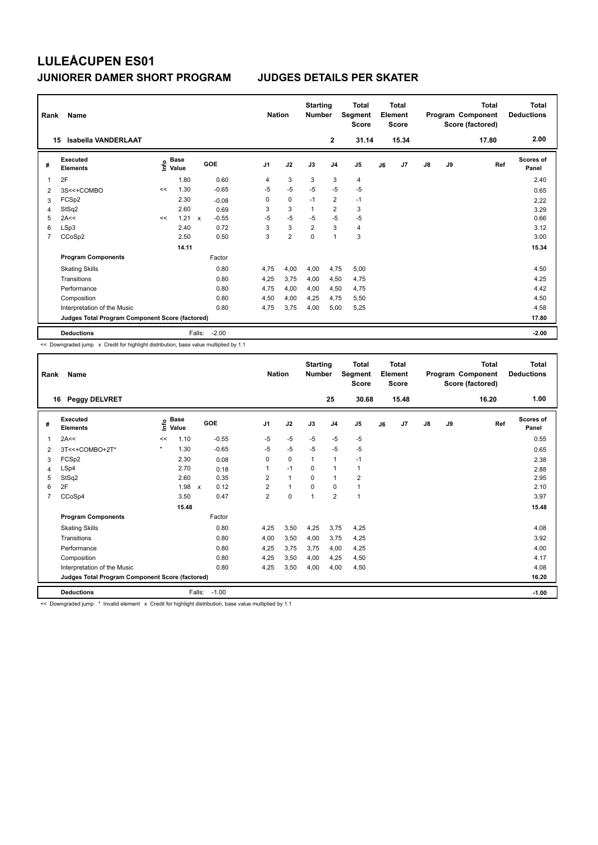| Rank | Name                                            |    |                                  |             |         | <b>Nation</b>  |                | <b>Starting</b><br><b>Number</b> |                | <b>Total</b><br>Segment<br><b>Score</b> |    | <b>Total</b><br>Element<br><b>Score</b> |               |    | <b>Total</b><br>Program Component<br>Score (factored) | <b>Total</b><br><b>Deductions</b> |
|------|-------------------------------------------------|----|----------------------------------|-------------|---------|----------------|----------------|----------------------------------|----------------|-----------------------------------------|----|-----------------------------------------|---------------|----|-------------------------------------------------------|-----------------------------------|
|      | Isabella VANDERLAAT<br>15                       |    |                                  |             |         |                |                |                                  | $\mathbf{2}$   | 31.14                                   |    | 15.34                                   |               |    | 17.80                                                 | 2.00                              |
| #    | Executed<br><b>Elements</b>                     |    | <b>Base</b><br>e Base<br>⊆ Value |             | GOE     | J <sub>1</sub> | J2             | J3                               | J <sub>4</sub> | J <sub>5</sub>                          | J6 | J7                                      | $\mathsf{J}8$ | J9 | Ref                                                   | <b>Scores of</b><br>Panel         |
| 1    | 2F                                              |    | 1.80                             |             | 0.60    | 4              | 3              | 3                                | 3              | 4                                       |    |                                         |               |    |                                                       | 2.40                              |
| 2    | 3S<<+COMBO                                      | << | 1.30                             |             | $-0.65$ | $-5$           | $-5$           | $-5$                             | $-5$           | $-5$                                    |    |                                         |               |    |                                                       | 0.65                              |
| 3    | FCSp2                                           |    | 2.30                             |             | $-0.08$ | 0              | $\mathbf 0$    | $-1$                             | 2              | $-1$                                    |    |                                         |               |    |                                                       | 2.22                              |
| 4    | StSq2                                           |    | 2.60                             |             | 0.69    | 3              | 3              | $\mathbf{1}$                     | $\overline{2}$ | 3                                       |    |                                         |               |    |                                                       | 3.29                              |
| 5    | 2A<<                                            | << | 1.21                             | $\mathbf x$ | $-0.55$ | $-5$           | $-5$           | $-5$                             | $-5$           | $-5$                                    |    |                                         |               |    |                                                       | 0.66                              |
| 6    | LSp3                                            |    | 2.40                             |             | 0.72    | 3              | $\overline{3}$ | $\overline{2}$                   | 3              | $\overline{4}$                          |    |                                         |               |    |                                                       | 3.12                              |
| 7    | CCoSp2                                          |    | 2.50                             |             | 0.50    | 3              | $\overline{2}$ | 0                                | $\overline{1}$ | 3                                       |    |                                         |               |    |                                                       | 3.00                              |
|      |                                                 |    | 14.11                            |             |         |                |                |                                  |                |                                         |    |                                         |               |    |                                                       | 15.34                             |
|      | <b>Program Components</b>                       |    |                                  |             | Factor  |                |                |                                  |                |                                         |    |                                         |               |    |                                                       |                                   |
|      | <b>Skating Skills</b>                           |    |                                  |             | 0.80    | 4.75           | 4,00           | 4,00                             | 4.75           | 5.00                                    |    |                                         |               |    |                                                       | 4.50                              |
|      | Transitions                                     |    |                                  |             | 0.80    | 4.25           | 3.75           | 4,00                             | 4,50           | 4,75                                    |    |                                         |               |    |                                                       | 4.25                              |
|      | Performance                                     |    |                                  |             | 0.80    | 4.75           | 4.00           | 4.00                             | 4,50           | 4.75                                    |    |                                         |               |    |                                                       | 4.42                              |
|      | Composition                                     |    |                                  |             | 0.80    | 4,50           | 4,00           | 4.25                             | 4.75           | 5,50                                    |    |                                         |               |    |                                                       | 4.50                              |
|      | Interpretation of the Music                     |    |                                  |             | 0.80    | 4.75           | 3,75           | 4,00                             | 5,00           | 5,25                                    |    |                                         |               |    |                                                       | 4.58                              |
|      | Judges Total Program Component Score (factored) |    |                                  |             |         |                |                |                                  |                |                                         |    |                                         |               |    |                                                       | 17.80                             |
|      | <b>Deductions</b>                               |    |                                  | Falls:      | $-2.00$ |                |                |                                  |                |                                         |    |                                         |               |    |                                                       | $-2.00$                           |

<< Downgraded jump x Credit for highlight distribution, base value multiplied by 1.1

| Rank           | Name                                            |         |                            |                                   | <b>Nation</b>  |              | <b>Starting</b><br><b>Number</b> |                | <b>Total</b><br>Segment<br><b>Score</b> |    | Total<br>Element<br><b>Score</b> |               |    | <b>Total</b><br>Program Component<br>Score (factored) | <b>Total</b><br><b>Deductions</b> |
|----------------|-------------------------------------------------|---------|----------------------------|-----------------------------------|----------------|--------------|----------------------------------|----------------|-----------------------------------------|----|----------------------------------|---------------|----|-------------------------------------------------------|-----------------------------------|
| 16             | <b>Peggy DELVRET</b>                            |         |                            |                                   |                |              |                                  | 25             | 30.68                                   |    | 15.48                            |               |    | 16.20                                                 | 1.00                              |
| #              | Executed<br><b>Elements</b>                     |         | e Base<br>E Value<br>Value | <b>GOE</b>                        | J <sub>1</sub> | J2           | J3                               | J <sub>4</sub> | J <sub>5</sub>                          | J6 | J7                               | $\mathsf{J}8$ | J9 | Ref                                                   | Scores of<br>Panel                |
| 1              | 2A<<                                            | <<      | 1.10                       | $-0.55$                           | $-5$           | $-5$         | $-5$                             | $-5$           | $-5$                                    |    |                                  |               |    |                                                       | 0.55                              |
| 2              | 3T<<+COMBO+2T*                                  | $\star$ | 1.30                       | $-0.65$                           | $-5$           | $-5$         | $-5$                             | $-5$           | $-5$                                    |    |                                  |               |    |                                                       | 0.65                              |
| 3              | FCSp2                                           |         | 2.30                       | 0.08                              | 0              | $\mathbf 0$  | 1                                | $\mathbf{1}$   | $-1$                                    |    |                                  |               |    |                                                       | 2.38                              |
| 4              | LSp4                                            |         | 2.70                       | 0.18                              | 1              | $-1$         | 0                                | -1             | 1                                       |    |                                  |               |    |                                                       | 2.88                              |
| 5              | StSq2                                           |         | 2.60                       | 0.35                              | $\overline{2}$ | $\mathbf{1}$ | $\Omega$                         | $\mathbf{1}$   | 2                                       |    |                                  |               |    |                                                       | 2.95                              |
| 6              | 2F                                              |         | 1.98                       | 0.12<br>$\boldsymbol{\mathsf{x}}$ | $\overline{2}$ | $\mathbf{1}$ | $\Omega$                         | $\mathbf 0$    | 1                                       |    |                                  |               |    |                                                       | 2.10                              |
| $\overline{7}$ | CCoSp4                                          |         | 3.50                       | 0.47                              | $\overline{2}$ | $\mathbf 0$  | $\mathbf{1}$                     | $\overline{2}$ | $\mathbf{1}$                            |    |                                  |               |    |                                                       | 3.97                              |
|                |                                                 |         | 15.48                      |                                   |                |              |                                  |                |                                         |    |                                  |               |    |                                                       | 15.48                             |
|                | <b>Program Components</b>                       |         |                            | Factor                            |                |              |                                  |                |                                         |    |                                  |               |    |                                                       |                                   |
|                | <b>Skating Skills</b>                           |         |                            | 0.80                              | 4,25           | 3,50         | 4,25                             | 3,75           | 4,25                                    |    |                                  |               |    |                                                       | 4.08                              |
|                | Transitions                                     |         |                            | 0.80                              | 4,00           | 3,50         | 4,00                             | 3,75           | 4,25                                    |    |                                  |               |    |                                                       | 3.92                              |
|                | Performance                                     |         |                            | 0.80                              | 4,25           | 3,75         | 3,75                             | 4,00           | 4,25                                    |    |                                  |               |    |                                                       | 4.00                              |
|                | Composition                                     |         |                            | 0.80                              | 4,25           | 3,50         | 4,00                             | 4,25           | 4,50                                    |    |                                  |               |    |                                                       | 4.17                              |
|                | Interpretation of the Music                     |         |                            | 0.80                              | 4,25           | 3,50         | 4,00                             | 4,00           | 4,50                                    |    |                                  |               |    |                                                       | 4.08                              |
|                | Judges Total Program Component Score (factored) |         |                            |                                   |                |              |                                  |                |                                         |    |                                  |               |    |                                                       | 16.20                             |
|                | <b>Deductions</b><br>$\cdots$                   |         |                            | Falls:<br>$-1.00$                 | .              |              |                                  |                |                                         |    |                                  |               |    |                                                       | $-1.00$                           |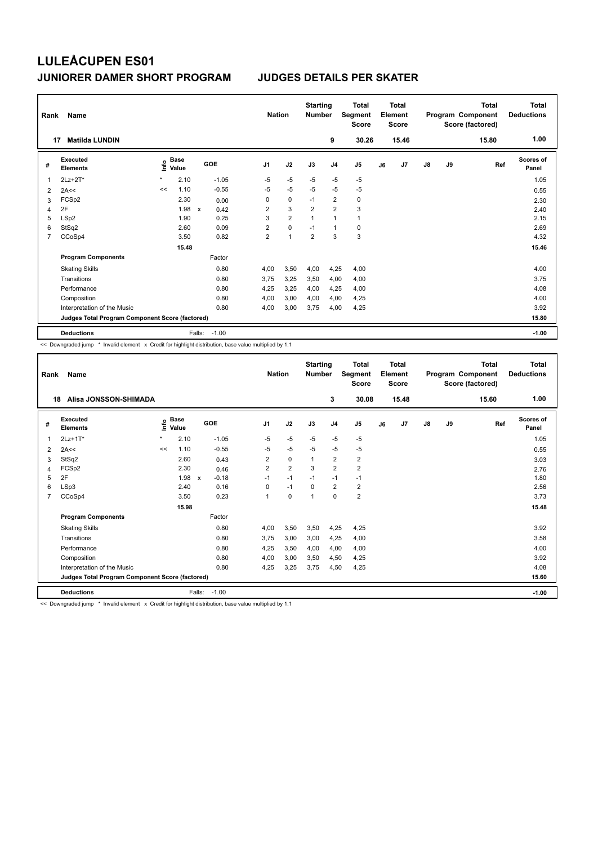| Rank | Name                                            |         |                                  |              |         |                | <b>Nation</b>  | <b>Starting</b><br><b>Number</b> |                | <b>Total</b><br>Segment<br><b>Score</b> |    | <b>Total</b><br>Element<br><b>Score</b> |               |    | <b>Total</b><br>Program Component<br>Score (factored) | <b>Total</b><br><b>Deductions</b> |
|------|-------------------------------------------------|---------|----------------------------------|--------------|---------|----------------|----------------|----------------------------------|----------------|-----------------------------------------|----|-----------------------------------------|---------------|----|-------------------------------------------------------|-----------------------------------|
|      | <b>Matilda LUNDIN</b><br>17                     |         |                                  |              |         |                |                |                                  | 9              | 30.26                                   |    | 15.46                                   |               |    | 15.80                                                 | 1.00                              |
| #    | <b>Executed</b><br><b>Elements</b>              |         | <b>Base</b><br>e Base<br>⊆ Value |              | GOE     | J <sub>1</sub> | J2             | J3                               | J <sub>4</sub> | J5                                      | J6 | J7                                      | $\mathsf{J}8$ | J9 | Ref                                                   | <b>Scores of</b><br>Panel         |
| 1    | $2Lz+2T*$                                       | $\star$ | 2.10                             |              | $-1.05$ | $-5$           | $-5$           | $-5$                             | $-5$           | $-5$                                    |    |                                         |               |    |                                                       | 1.05                              |
| 2    | 2A<<                                            | <<      | 1.10                             |              | $-0.55$ | $-5$           | $-5$           | $-5$                             | $-5$           | $-5$                                    |    |                                         |               |    |                                                       | 0.55                              |
| 3    | FCSp2                                           |         | 2.30                             |              | 0.00    | 0              | $\mathbf 0$    | $-1$                             | $\overline{2}$ | $\pmb{0}$                               |    |                                         |               |    |                                                       | 2.30                              |
| 4    | 2F                                              |         | 1.98                             | $\mathsf{x}$ | 0.42    | $\overline{2}$ | 3              | $\overline{2}$                   | $\overline{2}$ | 3                                       |    |                                         |               |    |                                                       | 2.40                              |
| 5    | LSp2                                            |         | 1.90                             |              | 0.25    | 3              | $\overline{2}$ | $\overline{1}$                   | $\overline{1}$ | 1                                       |    |                                         |               |    |                                                       | 2.15                              |
| 6    | StSq2                                           |         | 2.60                             |              | 0.09    | $\overline{2}$ | $\mathbf 0$    | $-1$                             | $\overline{1}$ | 0                                       |    |                                         |               |    |                                                       | 2.69                              |
| 7    | CCoSp4                                          |         | 3.50                             |              | 0.82    | $\overline{2}$ | $\overline{1}$ | $\overline{2}$                   | 3              | 3                                       |    |                                         |               |    |                                                       | 4.32                              |
|      |                                                 |         | 15.48                            |              |         |                |                |                                  |                |                                         |    |                                         |               |    |                                                       | 15.46                             |
|      | <b>Program Components</b>                       |         |                                  |              | Factor  |                |                |                                  |                |                                         |    |                                         |               |    |                                                       |                                   |
|      | <b>Skating Skills</b>                           |         |                                  |              | 0.80    | 4,00           | 3,50           | 4,00                             | 4,25           | 4,00                                    |    |                                         |               |    |                                                       | 4.00                              |
|      | Transitions                                     |         |                                  |              | 0.80    | 3,75           | 3,25           | 3,50                             | 4,00           | 4,00                                    |    |                                         |               |    |                                                       | 3.75                              |
|      | Performance                                     |         |                                  |              | 0.80    | 4,25           | 3,25           | 4,00                             | 4,25           | 4,00                                    |    |                                         |               |    |                                                       | 4.08                              |
|      | Composition                                     |         |                                  |              | 0.80    | 4,00           | 3,00           | 4,00                             | 4,00           | 4,25                                    |    |                                         |               |    |                                                       | 4.00                              |
|      | Interpretation of the Music                     |         |                                  |              | 0.80    | 4,00           | 3,00           | 3,75                             | 4,00           | 4,25                                    |    |                                         |               |    |                                                       | 3.92                              |
|      | Judges Total Program Component Score (factored) |         |                                  |              |         |                |                |                                  |                |                                         |    |                                         |               |    |                                                       | 15.80                             |
|      | <b>Deductions</b>                               |         |                                  | Falls:       | $-1.00$ |                |                |                                  |                |                                         |    |                                         |               |    |                                                       | $-1.00$                           |

-<br><< Downgraded jump \* Invalid element x Credit for highlight distribution, base value multiplied by 1.1

| Rank           | Name                                            |         |                                     |                           |         | <b>Nation</b>  |                | <b>Starting</b><br><b>Number</b> |                         | <b>Total</b><br>Segment<br><b>Score</b> |    | Total<br>Element<br><b>Score</b> |               |    | <b>Total</b><br>Program Component<br>Score (factored) | <b>Total</b><br><b>Deductions</b> |
|----------------|-------------------------------------------------|---------|-------------------------------------|---------------------------|---------|----------------|----------------|----------------------------------|-------------------------|-----------------------------------------|----|----------------------------------|---------------|----|-------------------------------------------------------|-----------------------------------|
|                | Alisa JONSSON-SHIMADA<br>18                     |         |                                     |                           |         |                |                |                                  | 3                       | 30.08                                   |    | 15.48                            |               |    | 15.60                                                 | 1.00                              |
| #              | Executed<br><b>Elements</b>                     |         | $\sum_{k=1}^{\infty}$ Pase<br>Value | GOE                       |         | J <sub>1</sub> | J2             | J3                               | J <sub>4</sub>          | J <sub>5</sub>                          | J6 | J7                               | $\mathsf{J}8$ | J9 | Ref                                                   | <b>Scores of</b><br>Panel         |
| 1              | $2Lz+1T^*$                                      | $\star$ | 2.10                                |                           | $-1.05$ | $-5$           | $-5$           | $-5$                             | $-5$                    | $-5$                                    |    |                                  |               |    |                                                       | 1.05                              |
| 2              | 2A<<                                            | <<      | 1.10                                |                           | $-0.55$ | $-5$           | $-5$           | $-5$                             | $-5$                    | $-5$                                    |    |                                  |               |    |                                                       | 0.55                              |
| 3              | StSq2                                           |         | 2.60                                |                           | 0.43    | $\overline{2}$ | $\mathbf 0$    | 1                                | $\overline{\mathbf{c}}$ | $\overline{2}$                          |    |                                  |               |    |                                                       | 3.03                              |
| 4              | FCSp2                                           |         | 2.30                                |                           | 0.46    | 2              | $\overline{2}$ | 3                                | $\overline{2}$          | $\overline{\mathbf{c}}$                 |    |                                  |               |    |                                                       | 2.76                              |
| 5              | 2F                                              |         | 1.98                                | $\boldsymbol{\mathsf{x}}$ | $-0.18$ | $-1$           | $-1$           | $-1$                             | $-1$                    | $-1$                                    |    |                                  |               |    |                                                       | 1.80                              |
| 6              | LSp3                                            |         | 2.40                                |                           | 0.16    | 0              | $-1$           | $\Omega$                         | $\overline{2}$          | $\overline{\mathbf{c}}$                 |    |                                  |               |    |                                                       | 2.56                              |
| $\overline{7}$ | CCoSp4                                          |         | 3.50                                |                           | 0.23    | $\mathbf{1}$   | $\mathbf 0$    | 1                                | $\mathbf 0$             | $\overline{\mathbf{c}}$                 |    |                                  |               |    |                                                       | 3.73                              |
|                |                                                 |         | 15.98                               |                           |         |                |                |                                  |                         |                                         |    |                                  |               |    |                                                       | 15.48                             |
|                | <b>Program Components</b>                       |         |                                     |                           | Factor  |                |                |                                  |                         |                                         |    |                                  |               |    |                                                       |                                   |
|                | <b>Skating Skills</b>                           |         |                                     |                           | 0.80    | 4,00           | 3,50           | 3,50                             | 4,25                    | 4,25                                    |    |                                  |               |    |                                                       | 3.92                              |
|                | Transitions                                     |         |                                     |                           | 0.80    | 3.75           | 3,00           | 3,00                             | 4,25                    | 4,00                                    |    |                                  |               |    |                                                       | 3.58                              |
|                | Performance                                     |         |                                     |                           | 0.80    | 4,25           | 3,50           | 4,00                             | 4,00                    | 4,00                                    |    |                                  |               |    |                                                       | 4.00                              |
|                | Composition                                     |         |                                     |                           | 0.80    | 4,00           | 3,00           | 3,50                             | 4,50                    | 4,25                                    |    |                                  |               |    |                                                       | 3.92                              |
|                | Interpretation of the Music                     |         |                                     |                           | 0.80    | 4,25           | 3,25           | 3.75                             | 4,50                    | 4,25                                    |    |                                  |               |    |                                                       | 4.08                              |
|                | Judges Total Program Component Score (factored) |         |                                     |                           |         |                |                |                                  |                         |                                         |    |                                  |               |    |                                                       | 15.60                             |
|                | <b>Deductions</b>                               |         |                                     | Falls:                    | $-1.00$ |                |                |                                  |                         |                                         |    |                                  |               |    |                                                       | $-1.00$                           |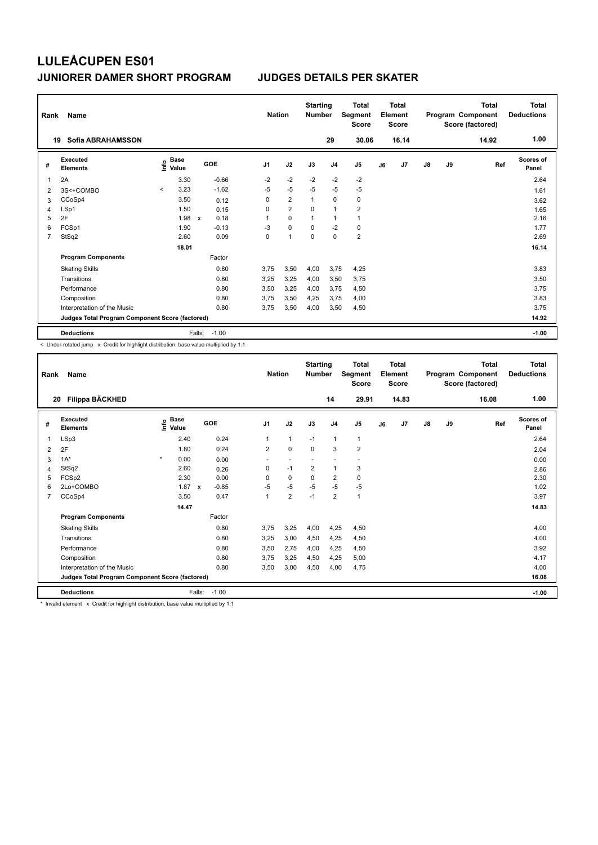| Rank           | Name                                            |                                  |       |              |         | <b>Nation</b>  |                | <b>Starting</b><br><b>Number</b> |                | <b>Total</b><br>Segment<br><b>Score</b> |    | Total<br>Element<br><b>Score</b> |               |    | <b>Total</b><br>Program Component<br>Score (factored) | Total<br><b>Deductions</b> |
|----------------|-------------------------------------------------|----------------------------------|-------|--------------|---------|----------------|----------------|----------------------------------|----------------|-----------------------------------------|----|----------------------------------|---------------|----|-------------------------------------------------------|----------------------------|
|                | Sofia ABRAHAMSSON<br>19                         |                                  |       |              |         |                |                |                                  | 29             | 30.06                                   |    | 16.14                            |               |    | 14.92                                                 | 1.00                       |
| #              | Executed<br><b>Elements</b>                     | <b>Base</b><br>e Base<br>⊆ Value |       | GOE          |         | J <sub>1</sub> | J2             | J3                               | J <sub>4</sub> | J5                                      | J6 | J <sub>7</sub>                   | $\mathsf{J}8$ | J9 | Ref                                                   | <b>Scores of</b><br>Panel  |
| 1              | 2A                                              |                                  | 3.30  |              | $-0.66$ | $-2$           | $-2$           | $-2$                             | $-2$           | $-2$                                    |    |                                  |               |    |                                                       | 2.64                       |
| 2              | 3S<+COMBO                                       | $\overline{\phantom{a}}$         | 3.23  |              | $-1.62$ | $-5$           | $-5$           | $-5$                             | $-5$           | $-5$                                    |    |                                  |               |    |                                                       | 1.61                       |
| 3              | CCoSp4                                          |                                  | 3.50  |              | 0.12    | 0              | $\overline{2}$ | $\mathbf{1}$                     | $\mathbf 0$    | $\pmb{0}$                               |    |                                  |               |    |                                                       | 3.62                       |
| $\overline{4}$ | LSp1                                            |                                  | 1.50  |              | 0.15    | 0              | $\overline{2}$ | $\mathbf 0$                      | $\overline{1}$ | $\overline{2}$                          |    |                                  |               |    |                                                       | 1.65                       |
| 5              | 2F                                              |                                  | 1.98  | $\mathsf{x}$ | 0.18    | 1              | 0              | $\overline{1}$                   | $\mathbf 1$    | $\mathbf{1}$                            |    |                                  |               |    |                                                       | 2.16                       |
| 6              | FCSp1                                           |                                  | 1.90  |              | $-0.13$ | $-3$           | $\mathbf 0$    | $\Omega$                         | $-2$           | $\pmb{0}$                               |    |                                  |               |    |                                                       | 1.77                       |
| 7              | StSq2                                           |                                  | 2.60  |              | 0.09    | 0              | $\overline{1}$ | 0                                | $\mathbf 0$    | $\overline{2}$                          |    |                                  |               |    |                                                       | 2.69                       |
|                |                                                 |                                  | 18.01 |              |         |                |                |                                  |                |                                         |    |                                  |               |    |                                                       | 16.14                      |
|                | <b>Program Components</b>                       |                                  |       |              | Factor  |                |                |                                  |                |                                         |    |                                  |               |    |                                                       |                            |
|                | <b>Skating Skills</b>                           |                                  |       |              | 0.80    | 3.75           | 3,50           | 4,00                             | 3,75           | 4,25                                    |    |                                  |               |    |                                                       | 3.83                       |
|                | Transitions                                     |                                  |       |              | 0.80    | 3.25           | 3,25           | 4,00                             | 3,50           | 3,75                                    |    |                                  |               |    |                                                       | 3.50                       |
|                | Performance                                     |                                  |       |              | 0.80    | 3,50           | 3,25           | 4.00                             | 3.75           | 4,50                                    |    |                                  |               |    |                                                       | 3.75                       |
|                | Composition                                     |                                  |       |              | 0.80    | 3.75           | 3,50           | 4.25                             | 3,75           | 4,00                                    |    |                                  |               |    |                                                       | 3.83                       |
|                | Interpretation of the Music                     |                                  |       |              | 0.80    | 3,75           | 3,50           | 4,00                             | 3,50           | 4,50                                    |    |                                  |               |    |                                                       | 3.75                       |
|                | Judges Total Program Component Score (factored) |                                  |       |              |         |                |                |                                  |                |                                         |    |                                  |               |    |                                                       | 14.92                      |
|                | <b>Deductions</b>                               |                                  |       | Falls:       | $-1.00$ |                |                |                                  |                |                                         |    |                                  |               |    |                                                       | $-1.00$                    |

< Under-rotated jump x Credit for highlight distribution, base value multiplied by 1.1

| Rank           | Name                                            |                                           |                         | <b>Nation</b>  |                          | <b>Starting</b><br><b>Number</b> |                | <b>Total</b><br>Segment<br><b>Score</b> |    | <b>Total</b><br>Element<br><b>Score</b> |               |    | <b>Total</b><br>Program Component<br>Score (factored) | <b>Total</b><br><b>Deductions</b> |
|----------------|-------------------------------------------------|-------------------------------------------|-------------------------|----------------|--------------------------|----------------------------------|----------------|-----------------------------------------|----|-----------------------------------------|---------------|----|-------------------------------------------------------|-----------------------------------|
|                | Filippa BÄCKHED<br>20                           |                                           |                         |                |                          |                                  | 14             | 29.91                                   |    | 14.83                                   |               |    | 16.08                                                 | 1.00                              |
| #              | Executed<br><b>Elements</b>                     | $\frac{e}{E}$ Base<br>$\frac{E}{E}$ Value | <b>GOE</b>              | J <sub>1</sub> | J2                       | J3                               | J <sub>4</sub> | J5                                      | J6 | J7                                      | $\mathsf{J}8$ | J9 | Ref                                                   | <b>Scores of</b><br>Panel         |
| 1              | LSp3                                            | 2.40                                      | 0.24                    | 1              | $\mathbf{1}$             | $-1$                             | $\mathbf{1}$   | 1                                       |    |                                         |               |    |                                                       | 2.64                              |
| 2              | 2F                                              | 1.80                                      | 0.24                    | $\overline{2}$ | $\mathbf 0$              | $\mathbf 0$                      | 3              | $\overline{\mathbf{c}}$                 |    |                                         |               |    |                                                       | 2.04                              |
| 3              | $1A^*$                                          | $\star$<br>0.00                           | 0.00                    | ٠              | $\overline{\phantom{a}}$ | $\overline{\phantom{a}}$         |                |                                         |    |                                         |               |    |                                                       | 0.00                              |
| 4              | StSq2                                           | 2.60                                      | 0.26                    | 0              | $-1$                     | 2                                | $\mathbf{1}$   | 3                                       |    |                                         |               |    |                                                       | 2.86                              |
| 5              | FCSp2                                           | 2.30                                      | 0.00                    | $\Omega$       | 0                        | $\Omega$                         | $\overline{2}$ | 0                                       |    |                                         |               |    |                                                       | 2.30                              |
| 6              | 2Lo+COMBO                                       | 1.87                                      | $-0.85$<br>$\mathsf{x}$ | -5             | -5                       | $-5$                             | $-5$           | $-5$                                    |    |                                         |               |    |                                                       | 1.02                              |
| $\overline{7}$ | CCoSp4                                          | 3.50                                      | 0.47                    | $\mathbf{1}$   | $\overline{2}$           | $-1$                             | $\overline{2}$ | $\mathbf{1}$                            |    |                                         |               |    |                                                       | 3.97                              |
|                |                                                 | 14.47                                     |                         |                |                          |                                  |                |                                         |    |                                         |               |    |                                                       | 14.83                             |
|                | <b>Program Components</b>                       |                                           | Factor                  |                |                          |                                  |                |                                         |    |                                         |               |    |                                                       |                                   |
|                | <b>Skating Skills</b>                           |                                           | 0.80                    | 3.75           | 3,25                     | 4,00                             | 4,25           | 4,50                                    |    |                                         |               |    |                                                       | 4.00                              |
|                | Transitions                                     |                                           | 0.80                    | 3,25           | 3,00                     | 4,50                             | 4,25           | 4,50                                    |    |                                         |               |    |                                                       | 4.00                              |
|                | Performance                                     |                                           | 0.80                    | 3,50           | 2,75                     | 4,00                             | 4,25           | 4,50                                    |    |                                         |               |    |                                                       | 3.92                              |
|                | Composition                                     |                                           | 0.80                    | 3.75           | 3,25                     | 4,50                             | 4,25           | 5,00                                    |    |                                         |               |    |                                                       | 4.17                              |
|                | Interpretation of the Music                     |                                           | 0.80                    | 3,50           | 3,00                     | 4,50                             | 4,00           | 4,75                                    |    |                                         |               |    |                                                       | 4.00                              |
|                | Judges Total Program Component Score (factored) |                                           |                         |                |                          |                                  |                |                                         |    |                                         |               |    |                                                       | 16.08                             |
|                | <b>Deductions</b>                               |                                           | Falls:<br>$-1.00$       |                |                          |                                  |                |                                         |    |                                         |               |    |                                                       | $-1.00$                           |

\* Invalid element x Credit for highlight distribution, base value multiplied by 1.1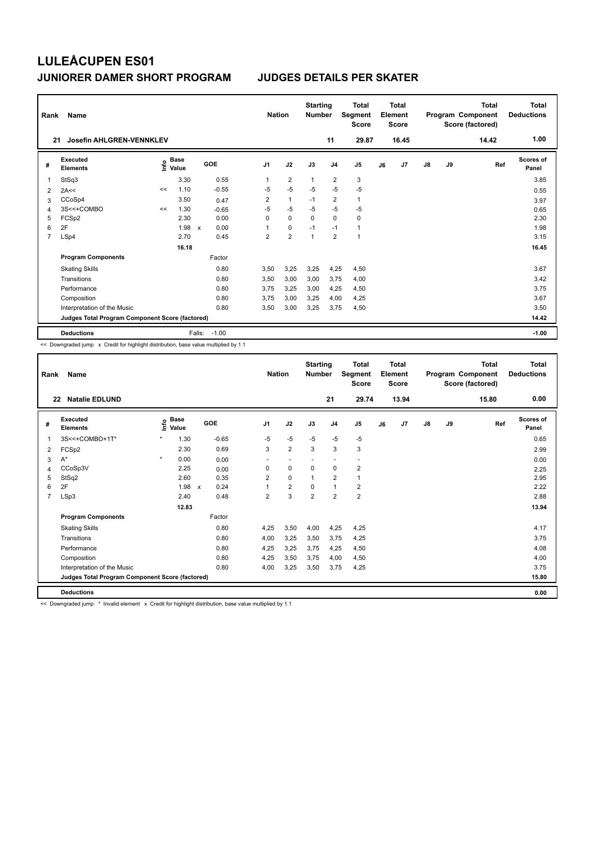| Rank | Name                                            |    |                           |                           |         |                | <b>Nation</b>           | <b>Starting</b><br><b>Number</b> |                | <b>Total</b><br>Segment<br><b>Score</b> |    | Total<br>Element<br><b>Score</b> |               |    | <b>Total</b><br>Program Component<br>Score (factored) | Total<br><b>Deductions</b> |
|------|-------------------------------------------------|----|---------------------------|---------------------------|---------|----------------|-------------------------|----------------------------------|----------------|-----------------------------------------|----|----------------------------------|---------------|----|-------------------------------------------------------|----------------------------|
| 21   | <b>Josefin AHLGREN-VENNKLEV</b>                 |    |                           |                           |         |                |                         |                                  | 11             | 29.87                                   |    | 16.45                            |               |    | 14.42                                                 | 1.00                       |
| #    | <b>Executed</b><br><b>Elements</b>              |    | Base<br>e Base<br>⊆ Value |                           | GOE     | J <sub>1</sub> | J2                      | J3                               | J <sub>4</sub> | J <sub>5</sub>                          | J6 | J <sub>7</sub>                   | $\mathsf{J}8$ | J9 | Ref                                                   | <b>Scores of</b><br>Panel  |
| 1    | StSq3                                           |    | 3.30                      |                           | 0.55    | 1              | $\overline{2}$          | $\overline{1}$                   | $\overline{2}$ | 3                                       |    |                                  |               |    |                                                       | 3.85                       |
| 2    | 2A<<                                            | << | 1.10                      |                           | $-0.55$ | $-5$           | $-5$                    | $-5$                             | $-5$           | $-5$                                    |    |                                  |               |    |                                                       | 0.55                       |
| 3    | CCoSp4                                          |    | 3.50                      |                           | 0.47    | $\overline{2}$ | $\mathbf{1}$            | $-1$                             | $\overline{2}$ | 1                                       |    |                                  |               |    |                                                       | 3.97                       |
| 4    | 3S<<+COMBO                                      | << | 1.30                      |                           | $-0.65$ | $-5$           | $-5$                    | $-5$                             | $-5$           | $-5$                                    |    |                                  |               |    |                                                       | 0.65                       |
| 5    | FCSp2                                           |    | 2.30                      |                           | 0.00    | 0              | $\mathbf 0$             | $\mathbf 0$                      | $\mathbf 0$    | 0                                       |    |                                  |               |    |                                                       | 2.30                       |
| 6    | 2F                                              |    | 1.98                      | $\boldsymbol{\mathsf{x}}$ | 0.00    | 1              | $\mathbf 0$             | $-1$                             | $-1$           | 1                                       |    |                                  |               |    |                                                       | 1.98                       |
| 7    | LSp4                                            |    | 2.70                      |                           | 0.45    | $\overline{2}$ | $\overline{\mathbf{c}}$ | 1                                | $\overline{2}$ | $\overline{1}$                          |    |                                  |               |    |                                                       | 3.15                       |
|      |                                                 |    | 16.18                     |                           |         |                |                         |                                  |                |                                         |    |                                  |               |    |                                                       | 16.45                      |
|      | <b>Program Components</b>                       |    |                           |                           | Factor  |                |                         |                                  |                |                                         |    |                                  |               |    |                                                       |                            |
|      | <b>Skating Skills</b>                           |    |                           |                           | 0.80    | 3,50           | 3,25                    | 3,25                             | 4,25           | 4,50                                    |    |                                  |               |    |                                                       | 3.67                       |
|      | Transitions                                     |    |                           |                           | 0.80    | 3,50           | 3,00                    | 3,00                             | 3,75           | 4,00                                    |    |                                  |               |    |                                                       | 3.42                       |
|      | Performance                                     |    |                           |                           | 0.80    | 3.75           | 3,25                    | 3.00                             | 4,25           | 4,50                                    |    |                                  |               |    |                                                       | 3.75                       |
|      | Composition                                     |    |                           |                           | 0.80    | 3,75           | 3,00                    | 3,25                             | 4,00           | 4,25                                    |    |                                  |               |    |                                                       | 3.67                       |
|      | Interpretation of the Music                     |    |                           |                           | 0.80    | 3,50           | 3,00                    | 3,25                             | 3,75           | 4,50                                    |    |                                  |               |    |                                                       | 3.50                       |
|      | Judges Total Program Component Score (factored) |    |                           |                           |         |                |                         |                                  |                |                                         |    |                                  |               |    |                                                       | 14.42                      |
|      | <b>Deductions</b>                               |    |                           | Falls:                    | $-1.00$ |                |                         |                                  |                |                                         |    |                                  |               |    |                                                       | $-1.00$                    |

<< Downgraded jump x Credit for highlight distribution, base value multiplied by 1.1

| Rank           | Name                                            |         |                            |              |         | <b>Nation</b>  |                          | <b>Starting</b><br><b>Number</b> |                          | <b>Total</b><br>Segment<br><b>Score</b> |    | <b>Total</b><br>Element<br><b>Score</b> |               |    | <b>Total</b><br>Program Component<br>Score (factored) | <b>Total</b><br><b>Deductions</b> |
|----------------|-------------------------------------------------|---------|----------------------------|--------------|---------|----------------|--------------------------|----------------------------------|--------------------------|-----------------------------------------|----|-----------------------------------------|---------------|----|-------------------------------------------------------|-----------------------------------|
| 22             | <b>Natalie EDLUND</b>                           |         |                            |              |         |                |                          |                                  | 21                       | 29.74                                   |    | 13.94                                   |               |    | 15.80                                                 | 0.00                              |
| #              | Executed<br><b>Elements</b>                     |         | e Base<br>⊆ Value<br>Value | <b>GOE</b>   |         | J <sub>1</sub> | J2                       | J3                               | J <sub>4</sub>           | J <sub>5</sub>                          | J6 | J <sub>7</sub>                          | $\mathsf{J}8$ | J9 | Ref                                                   | <b>Scores of</b><br>Panel         |
| 1              | 3S<<+COMBO+1T*                                  | $\star$ | 1.30                       |              | $-0.65$ | $-5$           | $-5$                     | $-5$                             | $-5$                     | $-5$                                    |    |                                         |               |    |                                                       | 0.65                              |
| 2              | FCSp2                                           |         | 2.30                       |              | 0.69    | 3              | $\overline{2}$           | 3                                | 3                        | 3                                       |    |                                         |               |    |                                                       | 2.99                              |
| 3              | A*                                              | $\star$ | 0.00                       |              | 0.00    | ٠              | $\overline{\phantom{a}}$ |                                  | $\overline{\phantom{a}}$ |                                         |    |                                         |               |    |                                                       | 0.00                              |
| 4              | CCoSp3V                                         |         | 2.25                       |              | 0.00    | 0              | $\mathbf 0$              | 0                                | 0                        | 2                                       |    |                                         |               |    |                                                       | 2.25                              |
| 5              | StSq2                                           |         | 2.60                       |              | 0.35    | $\overline{2}$ | $\Omega$                 | $\mathbf{1}$                     | $\overline{2}$           | 1                                       |    |                                         |               |    |                                                       | 2.95                              |
| 6              | 2F                                              |         | 1.98                       | $\mathsf{x}$ | 0.24    | 1              | $\overline{2}$           | 0                                | $\mathbf{1}$             | $\overline{\mathbf{c}}$                 |    |                                         |               |    |                                                       | 2.22                              |
| $\overline{7}$ | LSp3                                            |         | 2.40                       |              | 0.48    | $\overline{2}$ | 3                        | $\overline{2}$                   | $\overline{2}$           | $\overline{2}$                          |    |                                         |               |    |                                                       | 2.88                              |
|                |                                                 |         | 12.83                      |              |         |                |                          |                                  |                          |                                         |    |                                         |               |    |                                                       | 13.94                             |
|                | <b>Program Components</b>                       |         |                            |              | Factor  |                |                          |                                  |                          |                                         |    |                                         |               |    |                                                       |                                   |
|                | <b>Skating Skills</b>                           |         |                            |              | 0.80    | 4,25           | 3,50                     | 4,00                             | 4,25                     | 4,25                                    |    |                                         |               |    |                                                       | 4.17                              |
|                | Transitions                                     |         |                            |              | 0.80    | 4,00           | 3,25                     | 3,50                             | 3,75                     | 4,25                                    |    |                                         |               |    |                                                       | 3.75                              |
|                | Performance                                     |         |                            |              | 0.80    | 4,25           | 3,25                     | 3.75                             | 4,25                     | 4,50                                    |    |                                         |               |    |                                                       | 4.08                              |
|                | Composition                                     |         |                            |              | 0.80    | 4,25           | 3,50                     | 3,75                             | 4,00                     | 4,50                                    |    |                                         |               |    |                                                       | 4.00                              |
|                | Interpretation of the Music                     |         |                            |              | 0.80    | 4,00           | 3,25                     | 3,50                             | 3,75                     | 4,25                                    |    |                                         |               |    |                                                       | 3.75                              |
|                | Judges Total Program Component Score (factored) |         |                            |              |         |                |                          |                                  |                          |                                         |    |                                         |               |    |                                                       | 15.80                             |
|                | <b>Deductions</b>                               |         |                            |              |         |                |                          |                                  |                          |                                         |    |                                         |               |    |                                                       | 0.00                              |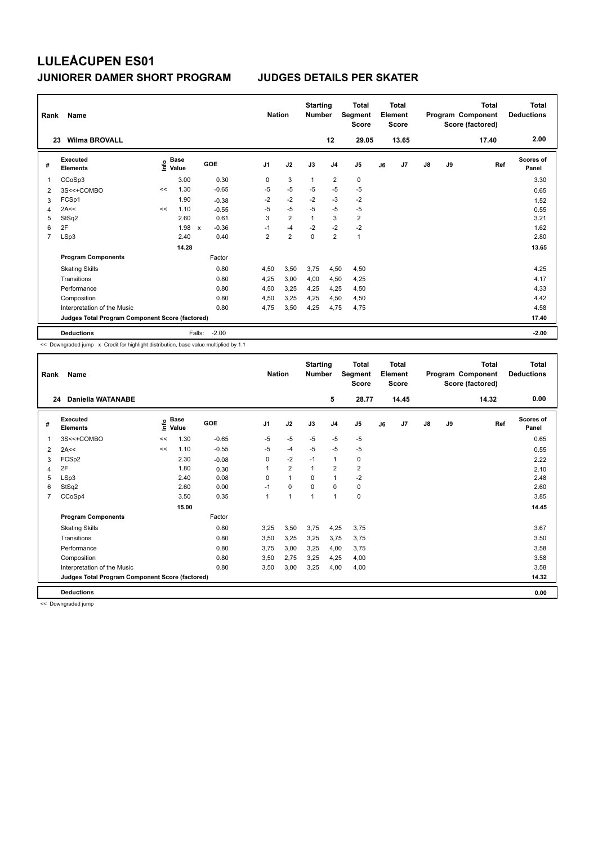| Rank | Name                                            |    |                                  |                           |         |                | <b>Nation</b>           | <b>Starting</b><br><b>Number</b> |                         | <b>Total</b><br>Segment<br><b>Score</b> |    | <b>Total</b><br>Element<br><b>Score</b> |               |    | <b>Total</b><br>Program Component<br>Score (factored) | Total<br><b>Deductions</b> |
|------|-------------------------------------------------|----|----------------------------------|---------------------------|---------|----------------|-------------------------|----------------------------------|-------------------------|-----------------------------------------|----|-----------------------------------------|---------------|----|-------------------------------------------------------|----------------------------|
|      | <b>Wilma BROVALL</b><br>23                      |    |                                  |                           |         |                |                         |                                  | 12                      | 29.05                                   |    | 13.65                                   |               |    | 17.40                                                 | 2.00                       |
| #    | <b>Executed</b><br><b>Elements</b>              |    | <b>Base</b><br>e Base<br>⊆ Value |                           | GOE     | J <sub>1</sub> | J2                      | J3                               | J <sub>4</sub>          | J5                                      | J6 | J <sub>7</sub>                          | $\mathsf{J}8$ | J9 | Ref                                                   | <b>Scores of</b><br>Panel  |
| 1    | CCoSp3                                          |    | 3.00                             |                           | 0.30    | 0              | 3                       | $\overline{1}$                   | $\overline{2}$          | $\pmb{0}$                               |    |                                         |               |    |                                                       | 3.30                       |
| 2    | 3S<<+COMBO                                      | << | 1.30                             |                           | $-0.65$ | $-5$           | $-5$                    | $-5$                             | $-5$                    | $-5$                                    |    |                                         |               |    |                                                       | 0.65                       |
| 3    | FCSp1                                           |    | 1.90                             |                           | $-0.38$ | $-2$           | $-2$                    | $-2$                             | $-3$                    | $-2$                                    |    |                                         |               |    |                                                       | 1.52                       |
| 4    | 2A<<                                            | << | 1.10                             |                           | $-0.55$ | $-5$           | $-5$                    | $-5$                             | $-5$                    | $-5$                                    |    |                                         |               |    |                                                       | 0.55                       |
| 5    | StSq2                                           |    | 2.60                             |                           | 0.61    | 3              | $\overline{2}$          | $\overline{1}$                   | 3                       | $\overline{2}$                          |    |                                         |               |    |                                                       | 3.21                       |
| 6    | 2F                                              |    | 1.98                             | $\boldsymbol{\mathsf{x}}$ | $-0.36$ | $-1$           | $-4$                    | $-2$                             | $-2$                    | $-2$                                    |    |                                         |               |    |                                                       | 1.62                       |
| 7    | LSp3                                            |    | 2.40                             |                           | 0.40    | $\overline{2}$ | $\overline{\mathbf{c}}$ | $\mathbf 0$                      | $\overline{\mathbf{c}}$ | $\mathbf{1}$                            |    |                                         |               |    |                                                       | 2.80                       |
|      |                                                 |    | 14.28                            |                           |         |                |                         |                                  |                         |                                         |    |                                         |               |    |                                                       | 13.65                      |
|      | <b>Program Components</b>                       |    |                                  |                           | Factor  |                |                         |                                  |                         |                                         |    |                                         |               |    |                                                       |                            |
|      | <b>Skating Skills</b>                           |    |                                  |                           | 0.80    | 4,50           | 3,50                    | 3,75                             | 4,50                    | 4,50                                    |    |                                         |               |    |                                                       | 4.25                       |
|      | Transitions                                     |    |                                  |                           | 0.80    | 4,25           | 3,00                    | 4,00                             | 4,50                    | 4,25                                    |    |                                         |               |    |                                                       | 4.17                       |
|      | Performance                                     |    |                                  |                           | 0.80    | 4,50           | 3,25                    | 4,25                             | 4,25                    | 4,50                                    |    |                                         |               |    |                                                       | 4.33                       |
|      | Composition                                     |    |                                  |                           | 0.80    | 4,50           | 3,25                    | 4,25                             | 4,50                    | 4,50                                    |    |                                         |               |    |                                                       | 4.42                       |
|      | Interpretation of the Music                     |    |                                  |                           | 0.80    | 4,75           | 3,50                    | 4,25                             | 4,75                    | 4,75                                    |    |                                         |               |    |                                                       | 4.58                       |
|      | Judges Total Program Component Score (factored) |    |                                  |                           |         |                |                         |                                  |                         |                                         |    |                                         |               |    |                                                       | 17.40                      |
|      | <b>Deductions</b>                               |    |                                  | Falls:                    | $-2.00$ |                |                         |                                  |                         |                                         |    |                                         |               |    |                                                       | $-2.00$                    |

<< Downgraded jump x Credit for highlight distribution, base value multiplied by 1.1

| Rank | Name                                            |    |                             |         | <b>Nation</b>  |                      | <b>Starting</b><br><b>Number</b> |                | Total<br>Segment<br><b>Score</b> |    | <b>Total</b><br>Element<br><b>Score</b> |               |    | <b>Total</b><br>Program Component<br>Score (factored) | <b>Total</b><br><b>Deductions</b> |
|------|-------------------------------------------------|----|-----------------------------|---------|----------------|----------------------|----------------------------------|----------------|----------------------------------|----|-----------------------------------------|---------------|----|-------------------------------------------------------|-----------------------------------|
| 24   | <b>Daniella WATANABE</b>                        |    |                             |         |                |                      |                                  | 5              | 28.77                            |    | 14.45                                   |               |    | 14.32                                                 | 0.00                              |
| #    | <b>Executed</b><br><b>Elements</b>              |    | $\sum_{k=1}^{\infty}$ Value | GOE     | J <sub>1</sub> | J2                   | J3                               | J <sub>4</sub> | J <sub>5</sub>                   | J6 | J <sub>7</sub>                          | $\mathsf{J}8$ | J9 | Ref                                                   | <b>Scores of</b><br>Panel         |
| 1    | 3S<<+COMBO                                      | << | 1.30                        | $-0.65$ | $-5$           | $-5$                 | $-5$                             | $-5$           | $-5$                             |    |                                         |               |    |                                                       | 0.65                              |
| 2    | 2A<<                                            | << | 1.10                        | $-0.55$ | $-5$           | $-4$                 | $-5$                             | $-5$           | $-5$                             |    |                                         |               |    |                                                       | 0.55                              |
| 3    | FCSp2                                           |    | 2.30                        | $-0.08$ | 0              | $-2$                 | $-1$                             | $\mathbf{1}$   | 0                                |    |                                         |               |    |                                                       | 2.22                              |
| 4    | 2F                                              |    | 1.80                        | 0.30    |                | $\overline{2}$       | $\mathbf 1$                      | $\overline{2}$ | $\overline{\mathbf{c}}$          |    |                                         |               |    |                                                       | 2.10                              |
| 5    | LSp3                                            |    | 2.40                        | 0.08    | $\Omega$       | $\blacktriangleleft$ | $\Omega$                         | 1              | $-2$                             |    |                                         |               |    |                                                       | 2.48                              |
| 6    | StSq2                                           |    | 2.60                        | 0.00    | $-1$           | 0                    | $\Omega$                         | $\mathbf 0$    | 0                                |    |                                         |               |    |                                                       | 2.60                              |
| 7    | CCoSp4                                          |    | 3.50                        | 0.35    | 1              | $\blacktriangleleft$ | 1                                | $\mathbf{1}$   | 0                                |    |                                         |               |    |                                                       | 3.85                              |
|      |                                                 |    | 15.00                       |         |                |                      |                                  |                |                                  |    |                                         |               |    |                                                       | 14.45                             |
|      | <b>Program Components</b>                       |    |                             | Factor  |                |                      |                                  |                |                                  |    |                                         |               |    |                                                       |                                   |
|      | <b>Skating Skills</b>                           |    |                             | 0.80    | 3,25           | 3,50                 | 3,75                             | 4,25           | 3,75                             |    |                                         |               |    |                                                       | 3.67                              |
|      | Transitions                                     |    |                             | 0.80    | 3,50           | 3,25                 | 3,25                             | 3,75           | 3,75                             |    |                                         |               |    |                                                       | 3.50                              |
|      | Performance                                     |    |                             | 0.80    | 3,75           | 3,00                 | 3,25                             | 4,00           | 3,75                             |    |                                         |               |    |                                                       | 3.58                              |
|      | Composition                                     |    |                             | 0.80    | 3,50           | 2,75                 | 3,25                             | 4,25           | 4,00                             |    |                                         |               |    |                                                       | 3.58                              |
|      | Interpretation of the Music                     |    |                             | 0.80    | 3,50           | 3,00                 | 3,25                             | 4,00           | 4,00                             |    |                                         |               |    |                                                       | 3.58                              |
|      | Judges Total Program Component Score (factored) |    |                             |         |                |                      |                                  |                |                                  |    |                                         |               |    |                                                       | 14.32                             |
|      | <b>Deductions</b>                               |    |                             |         |                |                      |                                  |                |                                  |    |                                         |               |    |                                                       | 0.00                              |

<< Downgraded jump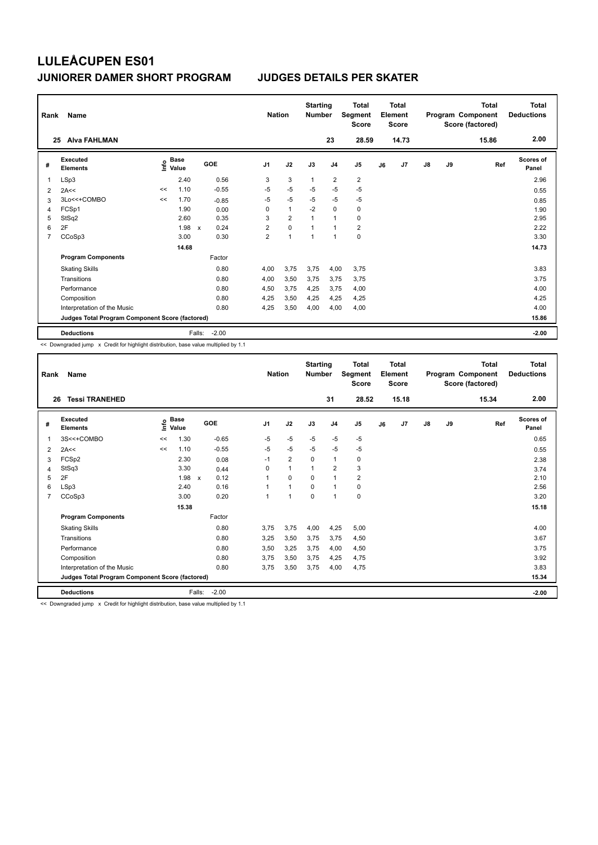|   | Rank<br>Name                                    |    |                                  |              |         |                |                | <b>Starting</b><br><b>Number</b> |                | <b>Total</b><br>Segment<br><b>Score</b> | <b>Total</b><br>Element<br><b>Score</b><br>14.73 |                | Program Component |    | <b>Total</b><br>Score (factored) | Total<br><b>Deductions</b> |
|---|-------------------------------------------------|----|----------------------------------|--------------|---------|----------------|----------------|----------------------------------|----------------|-----------------------------------------|--------------------------------------------------|----------------|-------------------|----|----------------------------------|----------------------------|
|   | <b>Alva FAHLMAN</b><br>25                       |    |                                  |              |         |                |                |                                  | 23             | 28.59                                   |                                                  |                |                   |    | 15.86                            | 2.00                       |
| # | <b>Executed</b><br><b>Elements</b>              |    | <b>Base</b><br>e Base<br>⊆ Value |              | GOE     | J <sub>1</sub> | J2             | J3                               | J <sub>4</sub> | J5                                      | J6                                               | J <sub>7</sub> | $\mathsf{J}8$     | J9 | Ref                              | <b>Scores of</b><br>Panel  |
| 1 | LSp3                                            |    | 2.40                             |              | 0.56    | 3              | 3              | 1                                | $\overline{2}$ | $\overline{2}$                          |                                                  |                |                   |    |                                  | 2.96                       |
| 2 | 2A<<                                            | << | 1.10                             |              | $-0.55$ | $-5$           | $-5$           | $-5$                             | $-5$           | $-5$                                    |                                                  |                |                   |    |                                  | 0.55                       |
| 3 | 3Lo<<+COMBO                                     | << | 1.70                             |              | $-0.85$ | $-5$           | $-5$           | $-5$                             | $-5$           | $-5$                                    |                                                  |                |                   |    |                                  | 0.85                       |
| 4 | FCSp1                                           |    | 1.90                             |              | 0.00    | 0              | $\mathbf{1}$   | $-2$                             | $\mathbf 0$    | $\mathbf 0$                             |                                                  |                |                   |    |                                  | 1.90                       |
| 5 | StSq2                                           |    | 2.60                             |              | 0.35    | 3              | $\overline{2}$ | 1                                | $\overline{1}$ | $\pmb{0}$                               |                                                  |                |                   |    |                                  | 2.95                       |
| 6 | 2F                                              |    | 1.98                             | $\mathsf{x}$ | 0.24    | $\overline{2}$ | $\mathbf 0$    |                                  | $\overline{1}$ | $\overline{2}$                          |                                                  |                |                   |    |                                  | 2.22                       |
| 7 | CCoSp3                                          |    | 3.00                             |              | 0.30    | $\overline{2}$ | $\overline{1}$ | 1                                | $\overline{ }$ | $\pmb{0}$                               |                                                  |                |                   |    |                                  | 3.30                       |
|   |                                                 |    | 14.68                            |              |         |                |                |                                  |                |                                         |                                                  |                |                   |    |                                  | 14.73                      |
|   | <b>Program Components</b>                       |    |                                  |              | Factor  |                |                |                                  |                |                                         |                                                  |                |                   |    |                                  |                            |
|   | <b>Skating Skills</b>                           |    |                                  |              | 0.80    | 4,00           | 3,75           | 3,75                             | 4,00           | 3,75                                    |                                                  |                |                   |    |                                  | 3.83                       |
|   | Transitions                                     |    |                                  |              | 0.80    | 4,00           | 3,50           | 3,75                             | 3,75           | 3,75                                    |                                                  |                |                   |    |                                  | 3.75                       |
|   | Performance                                     |    |                                  |              | 0.80    | 4,50           | 3,75           | 4,25                             | 3,75           | 4,00                                    |                                                  |                |                   |    |                                  | 4.00                       |
|   | Composition                                     |    |                                  |              | 0.80    | 4,25           | 3,50           | 4,25                             | 4,25           | 4,25                                    |                                                  |                |                   |    |                                  | 4.25                       |
|   | Interpretation of the Music                     |    |                                  |              | 0.80    | 4,25           | 3,50           | 4,00                             | 4,00           | 4,00                                    |                                                  |                |                   |    |                                  | 4.00                       |
|   | Judges Total Program Component Score (factored) |    |                                  |              |         |                |                |                                  |                |                                         |                                                  |                |                   |    |                                  | 15.86                      |
|   | <b>Deductions</b>                               |    |                                  | Falls:       | $-2.00$ |                |                |                                  |                |                                         |                                                  |                |                   |    |                                  | $-2.00$                    |

<< Downgraded jump x Credit for highlight distribution, base value multiplied by 1.1

| Rank           | Name                                            |    | <b>Nation</b>              |                      | <b>Starting</b><br><b>Number</b> | <b>Total</b><br>Segment<br><b>Score</b> | Total<br>Element<br><b>Score</b> |                |                         |    | <b>Total</b><br>Program Component<br>Score (factored) | <b>Total</b><br><b>Deductions</b> |    |       |                    |
|----------------|-------------------------------------------------|----|----------------------------|----------------------|----------------------------------|-----------------------------------------|----------------------------------|----------------|-------------------------|----|-------------------------------------------------------|-----------------------------------|----|-------|--------------------|
| 26             | <b>Tessi TRANEHED</b>                           |    |                            |                      |                                  |                                         |                                  | 31             | 28.52                   |    | 15.18                                                 |                                   |    | 15.34 | 2.00               |
| #              | Executed<br><b>Elements</b>                     |    | e Base<br>⊆ Value<br>Value | <b>GOE</b>           | J <sub>1</sub>                   | J2                                      | J3                               | J <sub>4</sub> | J <sub>5</sub>          | J6 | J7                                                    | $\mathsf{J}8$                     | J9 | Ref   | Scores of<br>Panel |
|                | 3S<<+COMBO                                      | << | 1.30                       | $-0.65$              | $-5$                             | $-5$                                    | $-5$                             | $-5$           | $-5$                    |    |                                                       |                                   |    |       | 0.65               |
| 2              | 2A<<                                            | << | 1.10                       | $-0.55$              | $-5$                             | -5                                      | $-5$                             | $-5$           | $-5$                    |    |                                                       |                                   |    |       | 0.55               |
| 3              | FCSp2                                           |    | 2.30                       | 0.08                 | $-1$                             | $\overline{2}$                          | $\Omega$                         | $\mathbf{1}$   | 0                       |    |                                                       |                                   |    |       | 2.38               |
| 4              | StSq3                                           |    | 3.30                       | 0.44                 | 0                                | $\mathbf{1}$                            | 1                                | $\overline{2}$ | 3                       |    |                                                       |                                   |    |       | 3.74               |
| 5              | 2F                                              |    | 1.98                       | 0.12<br>$\mathsf{x}$ | 1                                | 0                                       | $\Omega$                         | $\mathbf{1}$   | $\overline{\mathbf{c}}$ |    |                                                       |                                   |    |       | 2.10               |
| 6              | LSp3                                            |    | 2.40                       | 0.16                 | $\overline{ }$                   | $\mathbf{1}$                            | $\Omega$                         | $\mathbf{1}$   | 0                       |    |                                                       |                                   |    |       | 2.56               |
| $\overline{7}$ | CCoSp3                                          |    | 3.00                       | 0.20                 | 1                                | $\mathbf{1}$                            | $\Omega$                         | 1              | 0                       |    |                                                       |                                   |    |       | 3.20               |
|                |                                                 |    | 15.38                      |                      |                                  |                                         |                                  |                |                         |    |                                                       |                                   |    |       | 15.18              |
|                | <b>Program Components</b>                       |    |                            | Factor               |                                  |                                         |                                  |                |                         |    |                                                       |                                   |    |       |                    |
|                | <b>Skating Skills</b>                           |    |                            | 0.80                 | 3,75                             | 3,75                                    | 4,00                             | 4,25           | 5,00                    |    |                                                       |                                   |    |       | 4.00               |
|                | Transitions                                     |    |                            | 0.80                 | 3,25                             | 3,50                                    | 3,75                             | 3,75           | 4,50                    |    |                                                       |                                   |    |       | 3.67               |
|                | Performance                                     |    |                            | 0.80                 | 3,50                             | 3,25                                    | 3,75                             | 4,00           | 4,50                    |    |                                                       |                                   |    |       | 3.75               |
|                | Composition                                     |    |                            | 0.80                 | 3,75                             | 3,50                                    | 3,75                             | 4,25           | 4,75                    |    |                                                       |                                   |    |       | 3.92               |
|                | Interpretation of the Music                     |    |                            | 0.80                 | 3,75                             | 3,50                                    | 3,75                             | 4,00           | 4,75                    |    |                                                       |                                   |    |       | 3.83               |
|                | Judges Total Program Component Score (factored) |    |                            |                      |                                  |                                         |                                  |                |                         |    |                                                       |                                   |    |       | 15.34              |
|                | <b>Deductions</b><br>.                          |    |                            | $-2.00$<br>Falls:    |                                  |                                         |                                  |                |                         |    |                                                       |                                   |    |       | $-2.00$            |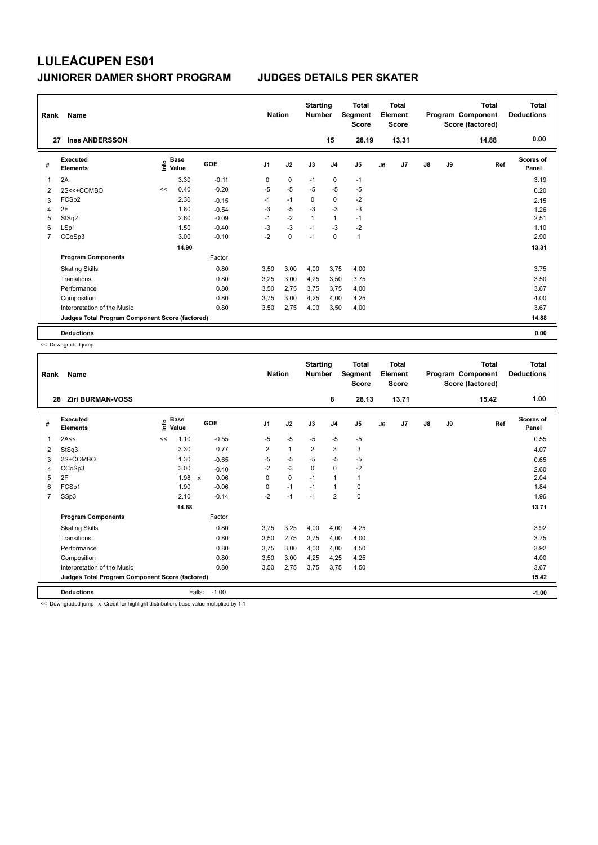| Rank           | Name                                            | <b>Nation</b> |                                    | <b>Starting</b><br><b>Number</b> |                | <b>Total</b><br>Segment<br><b>Score</b> | <b>Total</b><br>Element<br><b>Score</b> |                | Program Component |    | <b>Total</b><br>Score (factored) | <b>Total</b><br><b>Deductions</b> |    |       |                           |
|----------------|-------------------------------------------------|---------------|------------------------------------|----------------------------------|----------------|-----------------------------------------|-----------------------------------------|----------------|-------------------|----|----------------------------------|-----------------------------------|----|-------|---------------------------|
| 27             | <b>Ines ANDERSSON</b>                           |               |                                    |                                  |                |                                         |                                         | 15             | 28.19             |    | 13.31                            |                                   |    | 14.88 | 0.00                      |
| #              | Executed<br><b>Elements</b>                     |               | <b>Base</b><br>$\frac{6}{5}$ Value | GOE                              | J <sub>1</sub> | J2                                      | J3                                      | J <sub>4</sub> | J <sub>5</sub>    | J6 | J7                               | $\mathsf{J}8$                     | J9 | Ref   | <b>Scores of</b><br>Panel |
| 1              | 2A                                              |               | 3.30                               | $-0.11$                          | 0              | 0                                       | $-1$                                    | 0              | $-1$              |    |                                  |                                   |    |       | 3.19                      |
| 2              | 2S<<+COMBO                                      | <<            | 0.40                               | $-0.20$                          | $-5$           | $-5$                                    | $-5$                                    | $-5$           | $-5$              |    |                                  |                                   |    |       | 0.20                      |
| 3              | FCSp2                                           |               | 2.30                               | $-0.15$                          | $-1$           | $-1$                                    | 0                                       | $\mathbf 0$    | $-2$              |    |                                  |                                   |    |       | 2.15                      |
| $\overline{4}$ | 2F                                              |               | 1.80                               | $-0.54$                          | -3             | $-5$                                    | $-3$                                    | $-3$           | $-3$              |    |                                  |                                   |    |       | 1.26                      |
| 5              | StSq2                                           |               | 2.60                               | $-0.09$                          | $-1$           | $-2$                                    |                                         | $\mathbf{1}$   | $-1$              |    |                                  |                                   |    |       | 2.51                      |
| 6              | LSp1                                            |               | 1.50                               | $-0.40$                          | $-3$           | $-3$                                    | $-1$                                    | $-3$           | $-2$              |    |                                  |                                   |    |       | 1.10                      |
| $\overline{7}$ | CCoSp3                                          |               | 3.00                               | $-0.10$                          | $-2$           | $\pmb{0}$                               | $-1$                                    | $\mathbf 0$    | $\mathbf{1}$      |    |                                  |                                   |    |       | 2.90                      |
|                |                                                 |               | 14.90                              |                                  |                |                                         |                                         |                |                   |    |                                  |                                   |    |       | 13.31                     |
|                | <b>Program Components</b>                       |               |                                    | Factor                           |                |                                         |                                         |                |                   |    |                                  |                                   |    |       |                           |
|                | <b>Skating Skills</b>                           |               |                                    | 0.80                             | 3,50           | 3,00                                    | 4,00                                    | 3,75           | 4,00              |    |                                  |                                   |    |       | 3.75                      |
|                | Transitions                                     |               |                                    | 0.80                             | 3,25           | 3,00                                    | 4,25                                    | 3,50           | 3,75              |    |                                  |                                   |    |       | 3.50                      |
|                | Performance                                     |               |                                    | 0.80                             | 3.50           | 2.75                                    | 3.75                                    | 3.75           | 4,00              |    |                                  |                                   |    |       | 3.67                      |
|                | Composition                                     |               |                                    | 0.80                             | 3,75           | 3,00                                    | 4,25                                    | 4,00           | 4,25              |    |                                  |                                   |    |       | 4.00                      |
|                | Interpretation of the Music                     |               |                                    | 0.80                             | 3,50           | 2,75                                    | 4,00                                    | 3,50           | 4,00              |    |                                  |                                   |    |       | 3.67                      |
|                | Judges Total Program Component Score (factored) |               |                                    |                                  |                |                                         |                                         |                |                   |    |                                  |                                   |    |       | 14.88                     |
|                | <b>Deductions</b>                               |               |                                    |                                  |                |                                         |                                         |                |                   |    |                                  |                                   |    |       | 0.00                      |

<< Downgraded jump

| Rank | Name                                            | <b>Nation</b>              | <b>Starting</b><br><b>Number</b> |                                   | <b>Total</b><br>Segment<br><b>Score</b> | <b>Total</b><br>Element<br><b>Score</b> |                | Program Component |                | <b>Total</b><br>Score (factored) | <b>Total</b><br><b>Deductions</b> |               |    |       |                    |
|------|-------------------------------------------------|----------------------------|----------------------------------|-----------------------------------|-----------------------------------------|-----------------------------------------|----------------|-------------------|----------------|----------------------------------|-----------------------------------|---------------|----|-------|--------------------|
| 28   | <b>Ziri BURMAN-VOSS</b>                         |                            |                                  |                                   |                                         |                                         |                | 8                 | 28.13          |                                  | 13.71                             |               |    | 15.42 | 1.00               |
| #    | Executed<br><b>Elements</b>                     | $\sum_{k=1}^{\infty}$ Pase | Value                            | GOE                               | J <sub>1</sub>                          | J2                                      | J3             | J <sub>4</sub>    | J <sub>5</sub> | J6                               | J <sub>7</sub>                    | $\mathsf{J}8$ | J9 | Ref   | Scores of<br>Panel |
| 1    | 2A<<                                            | <<                         | 1.10                             | $-0.55$                           | $-5$                                    | $-5$                                    | $-5$           | $-5$              | $-5$           |                                  |                                   |               |    |       | 0.55               |
| 2    | StSq3                                           |                            | 3.30                             | 0.77                              | $\overline{2}$                          | $\mathbf{1}$                            | $\overline{2}$ | 3                 | 3              |                                  |                                   |               |    |       | 4.07               |
| 3    | 2S+COMBO                                        |                            | 1.30                             | $-0.65$                           | -5                                      | $-5$                                    | $-5$           | $-5$              | $-5$           |                                  |                                   |               |    |       | 0.65               |
| 4    | CCoSp3                                          |                            | 3.00                             | $-0.40$                           | $-2$                                    | $-3$                                    | $\Omega$       | $\mathbf 0$       | $-2$           |                                  |                                   |               |    |       | 2.60               |
| 5    | 2F                                              |                            | 1.98                             | 0.06<br>$\boldsymbol{\mathsf{x}}$ | 0                                       | $\mathbf 0$                             | $-1$           | $\mathbf{1}$      | $\mathbf{1}$   |                                  |                                   |               |    |       | 2.04               |
| 6    | FCSp1                                           |                            | 1.90                             | $-0.06$                           | 0                                       | $-1$                                    | $-1$           | $\mathbf 1$       | 0              |                                  |                                   |               |    |       | 1.84               |
| 7    | SSp3                                            |                            | 2.10                             | $-0.14$                           | $-2$                                    | $-1$                                    | $-1$           | $\overline{2}$    | $\mathbf 0$    |                                  |                                   |               |    |       | 1.96               |
|      |                                                 |                            | 14.68                            |                                   |                                         |                                         |                |                   |                |                                  |                                   |               |    |       | 13.71              |
|      | <b>Program Components</b>                       |                            |                                  | Factor                            |                                         |                                         |                |                   |                |                                  |                                   |               |    |       |                    |
|      | <b>Skating Skills</b>                           |                            |                                  | 0.80                              | 3.75                                    | 3,25                                    | 4,00           | 4,00              | 4,25           |                                  |                                   |               |    |       | 3.92               |
|      | Transitions                                     |                            |                                  | 0.80                              | 3,50                                    | 2.75                                    | 3,75           | 4,00              | 4,00           |                                  |                                   |               |    |       | 3.75               |
|      | Performance                                     |                            |                                  | 0.80                              | 3.75                                    | 3,00                                    | 4,00           | 4,00              | 4,50           |                                  |                                   |               |    |       | 3.92               |
|      | Composition                                     |                            |                                  | 0.80                              | 3,50                                    | 3,00                                    | 4,25           | 4,25              | 4,25           |                                  |                                   |               |    |       | 4.00               |
|      | Interpretation of the Music                     |                            |                                  | 0.80                              | 3,50                                    | 2,75                                    | 3.75           | 3,75              | 4,50           |                                  |                                   |               |    |       | 3.67               |
|      | Judges Total Program Component Score (factored) |                            |                                  |                                   |                                         |                                         |                |                   |                |                                  |                                   |               |    |       | 15.42              |
|      | <b>Deductions</b>                               |                            |                                  | $-1.00$<br>Falls:                 |                                         |                                         |                |                   |                |                                  |                                   |               |    |       | $-1.00$            |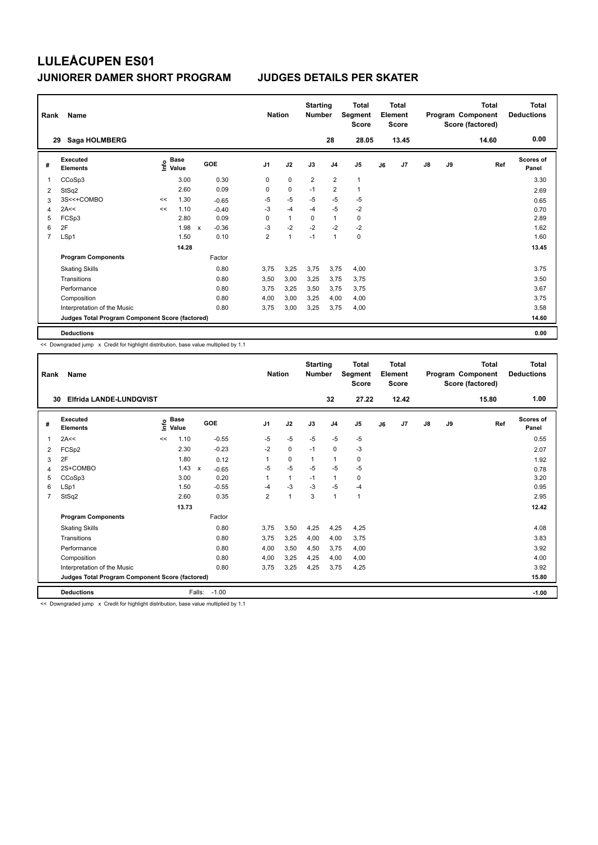| Rank           | Name                                            |    | <b>Nation</b>                    | <b>Starting</b><br><b>Number</b> |         | <b>Total</b><br>Segment<br><b>Score</b> |                | <b>Total</b><br>Element<br><b>Score</b> |                |                | <b>Total</b><br>Program Component<br>Score (factored) | <b>Total</b><br><b>Deductions</b> |               |    |       |                           |
|----------------|-------------------------------------------------|----|----------------------------------|----------------------------------|---------|-----------------------------------------|----------------|-----------------------------------------|----------------|----------------|-------------------------------------------------------|-----------------------------------|---------------|----|-------|---------------------------|
| 29             | Saga HOLMBERG                                   |    |                                  |                                  |         |                                         |                |                                         | 28             | 28.05          |                                                       | 13.45                             |               |    | 14.60 | 0.00                      |
| #              | <b>Executed</b><br><b>Elements</b>              |    | <b>Base</b><br>e Base<br>⊆ Value |                                  | GOE     | J <sub>1</sub>                          | J2             | J3                                      | J <sub>4</sub> | J <sub>5</sub> | J6                                                    | J7                                | $\mathsf{J}8$ | J9 | Ref   | <b>Scores of</b><br>Panel |
| 1              | CCoSp3                                          |    | 3.00                             |                                  | 0.30    | 0                                       | $\mathbf 0$    | $\overline{2}$                          | $\overline{2}$ | $\overline{1}$ |                                                       |                                   |               |    |       | 3.30                      |
| 2              | StSq2                                           |    | 2.60                             |                                  | 0.09    | 0                                       | $\mathbf 0$    | $-1$                                    | $\overline{2}$ | $\mathbf{1}$   |                                                       |                                   |               |    |       | 2.69                      |
| 3              | 3S<<+COMBO                                      | << | 1.30                             |                                  | $-0.65$ | $-5$                                    | $-5$           | $-5$                                    | -5             | -5             |                                                       |                                   |               |    |       | 0.65                      |
| 4              | 2A<<                                            | << | 1.10                             |                                  | $-0.40$ | $-3$                                    | $-4$           | $-4$                                    | $-5$           | $-2$           |                                                       |                                   |               |    |       | 0.70                      |
| 5              | FCSp3                                           |    | 2.80                             |                                  | 0.09    | 0                                       | $\mathbf{1}$   | 0                                       | $\overline{1}$ | 0              |                                                       |                                   |               |    |       | 2.89                      |
| 6              | 2F                                              |    | 1.98                             | $\mathsf{x}$                     | $-0.36$ | $-3$                                    | $-2$           | $-2$                                    | $-2$           | $-2$           |                                                       |                                   |               |    |       | 1.62                      |
| $\overline{7}$ | LSp1                                            |    | 1.50                             |                                  | 0.10    | $\overline{2}$                          | $\overline{1}$ | $-1$                                    | $\overline{1}$ | $\pmb{0}$      |                                                       |                                   |               |    |       | 1.60                      |
|                |                                                 |    | 14.28                            |                                  |         |                                         |                |                                         |                |                |                                                       |                                   |               |    |       | 13.45                     |
|                | <b>Program Components</b>                       |    |                                  |                                  | Factor  |                                         |                |                                         |                |                |                                                       |                                   |               |    |       |                           |
|                | <b>Skating Skills</b>                           |    |                                  |                                  | 0.80    | 3.75                                    | 3,25           | 3,75                                    | 3,75           | 4,00           |                                                       |                                   |               |    |       | 3.75                      |
|                | Transitions                                     |    |                                  |                                  | 0.80    | 3,50                                    | 3,00           | 3,25                                    | 3,75           | 3,75           |                                                       |                                   |               |    |       | 3.50                      |
|                | Performance                                     |    |                                  |                                  | 0.80    | 3.75                                    | 3.25           | 3.50                                    | 3.75           | 3,75           |                                                       |                                   |               |    |       | 3.67                      |
|                | Composition                                     |    |                                  |                                  | 0.80    | 4,00                                    | 3,00           | 3,25                                    | 4,00           | 4,00           |                                                       |                                   |               |    |       | 3.75                      |
|                | Interpretation of the Music                     |    |                                  |                                  | 0.80    | 3,75                                    | 3,00           | 3,25                                    | 3,75           | 4,00           |                                                       |                                   |               |    |       | 3.58                      |
|                | Judges Total Program Component Score (factored) |    |                                  |                                  |         |                                         |                |                                         |                |                |                                                       |                                   |               |    |       | 14.60                     |
|                | <b>Deductions</b>                               |    |                                  |                                  |         |                                         |                |                                         |                |                |                                                       |                                   |               |    |       | 0.00                      |

<< Downgraded jump x Credit for highlight distribution, base value multiplied by 1.1

|                | Name<br>Rank                                    |      |                      |              |         |                |  |              | <b>Starting</b><br><b>Number</b> |                | <b>Total</b><br>Segment<br><b>Score</b> | <b>Total</b><br>Element<br><b>Score</b> |                | Program Component |    | <b>Total</b><br>Score (factored) | <b>Total</b><br><b>Deductions</b> |
|----------------|-------------------------------------------------|------|----------------------|--------------|---------|----------------|--|--------------|----------------------------------|----------------|-----------------------------------------|-----------------------------------------|----------------|-------------------|----|----------------------------------|-----------------------------------|
| 30             | Elfrida LANDE-LUNDOVIST                         |      |                      |              |         |                |  |              |                                  | 32             | 27.22                                   |                                         | 12.42          |                   |    | 15.80                            | 1.00                              |
| #              | Executed<br><b>Elements</b>                     | Info | <b>Base</b><br>Value |              | GOE     | J <sub>1</sub> |  | J2           | J3                               | J <sub>4</sub> | J <sub>5</sub>                          | J6                                      | J <sub>7</sub> | $\mathsf{J}8$     | J9 | Ref                              | <b>Scores of</b><br>Panel         |
| 1              | 2A<<                                            | <<   | 1.10                 |              | $-0.55$ | $-5$           |  | $-5$         | $-5$                             | $-5$           | $-5$                                    |                                         |                |                   |    |                                  | 0.55                              |
| 2              | FCSp2                                           |      | 2.30                 |              | $-0.23$ | $-2$           |  | $\mathbf 0$  | $-1$                             | $\mathbf 0$    | $-3$                                    |                                         |                |                   |    |                                  | 2.07                              |
| 3              | 2F                                              |      | 1.80                 |              | 0.12    | 1              |  | $\mathbf 0$  | $\mathbf{1}$                     | $\mathbf{1}$   | 0                                       |                                         |                |                   |    |                                  | 1.92                              |
| 4              | 2S+COMBO                                        |      | 1.43                 | $\mathsf{x}$ | $-0.65$ | -5             |  | $-5$         | $-5$                             | $-5$           | $-5$                                    |                                         |                |                   |    |                                  | 0.78                              |
| 5              | CCoSp3                                          |      | 3.00                 |              | 0.20    | 1              |  | $\mathbf{1}$ | $-1$                             | $\mathbf{1}$   | 0                                       |                                         |                |                   |    |                                  | 3.20                              |
| 6              | LSp1                                            |      | 1.50                 |              | $-0.55$ | -4             |  | $-3$         | $-3$                             | $-5$           | $-4$                                    |                                         |                |                   |    |                                  | 0.95                              |
| $\overline{7}$ | StSq2                                           |      | 2.60                 |              | 0.35    | $\overline{2}$ |  | $\mathbf{1}$ | 3                                | $\mathbf{1}$   | $\mathbf{1}$                            |                                         |                |                   |    |                                  | 2.95                              |
|                |                                                 |      | 13.73                |              |         |                |  |              |                                  |                |                                         |                                         |                |                   |    |                                  | 12.42                             |
|                | <b>Program Components</b>                       |      |                      |              | Factor  |                |  |              |                                  |                |                                         |                                         |                |                   |    |                                  |                                   |
|                | <b>Skating Skills</b>                           |      |                      |              | 0.80    | 3.75           |  | 3.50         | 4,25                             | 4,25           | 4,25                                    |                                         |                |                   |    |                                  | 4.08                              |
|                | Transitions                                     |      |                      |              | 0.80    | 3.75           |  | 3,25         | 4,00                             | 4,00           | 3,75                                    |                                         |                |                   |    |                                  | 3.83                              |
|                | Performance                                     |      |                      |              | 0.80    | 4,00           |  | 3,50         | 4,50                             | 3.75           | 4,00                                    |                                         |                |                   |    |                                  | 3.92                              |
|                | Composition                                     |      |                      |              | 0.80    | 4,00           |  | 3,25         | 4,25                             | 4,00           | 4,00                                    |                                         |                |                   |    |                                  | 4.00                              |
|                | Interpretation of the Music                     |      |                      |              | 0.80    | 3.75           |  | 3,25         | 4.25                             | 3.75           | 4,25                                    |                                         |                |                   |    |                                  | 3.92                              |
|                | Judges Total Program Component Score (factored) |      |                      |              |         |                |  |              |                                  |                |                                         |                                         |                |                   |    |                                  | 15.80                             |
|                | <b>Deductions</b>                               |      |                      | Falls:       | $-1.00$ |                |  |              |                                  |                |                                         |                                         |                |                   |    |                                  | $-1.00$                           |